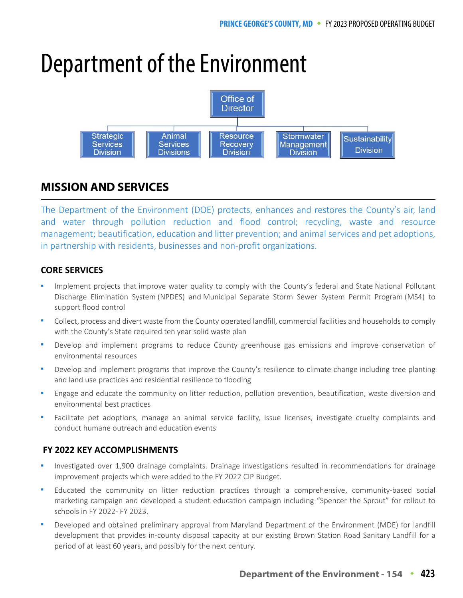# Department of the Environment



# **MISSION AND SERVICES**

The Department of the Environment (DOE) protects, enhances and restores the County's air, land and water through pollution reduction and flood control; recycling, waste and resource management; beautification, education and litter prevention; and animal services and pet adoptions, in partnership with residents, businesses and non-profit organizations.

## **CORE SERVICES**

- Implement projects that improve water quality to comply with the County's federal and State National Pollutant Discharge Elimination System (NPDES) and Municipal Separate Storm Sewer System Permit Program (MS4) to support flood control
- Collect, process and divert waste from the County operated landfill, commercial facilities and households to comply with the County's State required ten year solid waste plan
- Develop and implement programs to reduce County greenhouse gas emissions and improve conservation of environmental resources
- Develop and implement programs that improve the County's resilience to climate change including tree planting and land use practices and residential resilience to flooding
- Engage and educate the community on litter reduction, pollution prevention, beautification, waste diversion and environmental best practices
- Facilitate pet adoptions, manage an animal service facility, issue licenses, investigate cruelty complaints and conduct humane outreach and education events

## **FY 2022 KEY ACCOMPLISHMENTS**

- Investigated over 1,900 drainage complaints. Drainage investigations resulted in recommendations for drainage improvement projects which were added to the FY 2022 CIP Budget.
- Educated the community on litter reduction practices through a comprehensive, community-based social marketing campaign and developed a student education campaign including "Spencer the Sprout" for rollout to schools in FY 2022- FY 2023.
- Developed and obtained preliminary approval from Maryland Department of the Environment (MDE) for landfill development that provides in-county disposal capacity at our existing Brown Station Road Sanitary Landfill for a period of at least 60 years, and possibly for the next century.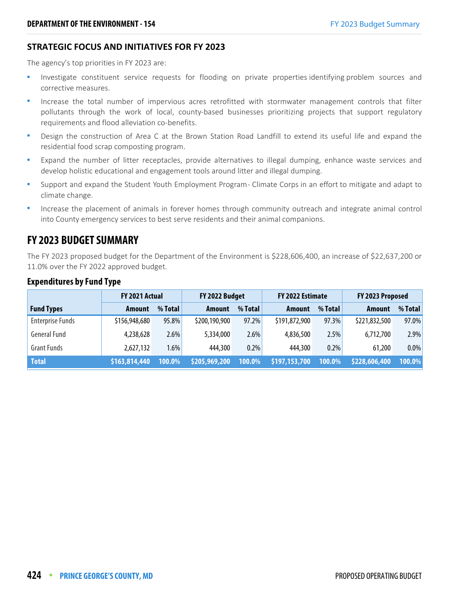#### **STRATEGIC FOCUS AND INITIATIVES FOR FY 2023**

The agency's top priorities in FY 2023 are:

- Investigate constituent service requests for flooding on private properties identifying problem sources and corrective measures.
- Increase the total number of impervious acres retrofitted with stormwater management controls that filter pollutants through the work of local, county-based businesses prioritizing projects that support regulatory requirements and flood alleviation co-benefits.
- Design the construction of Area C at the Brown Station Road Landfill to extend its useful life and expand the residential food scrap composting program.
- Expand the number of litter receptacles, provide alternatives to illegal dumping, enhance waste services and develop holistic educational and engagement tools around litter and illegal dumping.
- Support and expand the Student Youth Employment Program Climate Corps in an effort to mitigate and adapt to climate change.
- Increase the placement of animals in forever homes through community outreach and integrate animal control into County emergency services to best serve residents and their animal companions.

# **FY 2023 BUDGET SUMMARY**

The FY 2023 proposed budget for the Department of the Environment is \$228,606,400, an increase of \$22,637,200 or 11.0% over the FY 2022 approved budget.

|                         | FY 2021 Actual |         | FY 2022 Budget |         | FY 2022 Estimate |         | FY 2023 Proposed |         |
|-------------------------|----------------|---------|----------------|---------|------------------|---------|------------------|---------|
| <b>Fund Types</b>       | Amount         | % Total | <b>Amount</b>  | % Total | <b>Amount</b>    | % Total | <b>Amount</b>    | % Total |
| <b>Enterprise Funds</b> | \$156,948,680  | 95.8%   | \$200,190,900  | 97.2%   | \$191,872,900    | 97.3%   | \$221,832,500    | 97.0%   |
| General Fund            | 4,238,628      | 2.6%    | 5,334,000      | 2.6%    | 4,836,500        | 2.5%    | 6,712,700        | 2.9%    |
| <b>Grant Funds</b>      | 2,627,132      | $1.6\%$ | 444,300        | 0.2%    | 444,300          | 0.2%    | 61,200           | $0.0\%$ |
| <b>Total</b>            | \$163,814,440  | 100.0%  | \$205,969,200  | 100.0%  | \$197,153,700    | 100.0%  | \$228,606,400    | 100.0%  |

#### **Expenditures by Fund Type**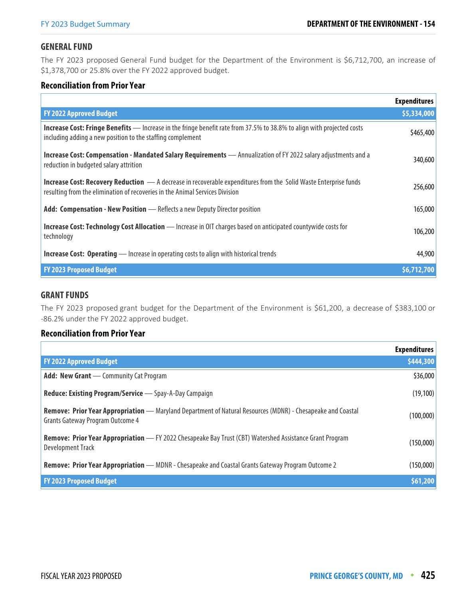#### **GENERAL FUND**

The FY 2023 proposed General Fund budget for the Department of the Environment is \$6,712,700, an increase of \$1,378,700 or 25.8% over the FY 2022 approved budget.

#### **Reconciliation from Prior Year**

|                                                                                                                                                                                                         | <b>Expenditures</b> |
|---------------------------------------------------------------------------------------------------------------------------------------------------------------------------------------------------------|---------------------|
| <b>FY 2022 Approved Budget</b>                                                                                                                                                                          | \$5,334,000         |
| <b>Increase Cost: Fringe Benefits</b> — Increase in the fringe benefit rate from 37.5% to 38.8% to align with projected costs<br>including adding a new position to the staffing complement             | \$465,400           |
| <b>Increase Cost: Compensation - Mandated Salary Requirements</b> — Annualization of FY 2022 salary adjustments and a<br>reduction in budgeted salary attrition                                         | 340,600             |
| <b>Increase Cost: Recovery Reduction</b> - A decrease in recoverable expenditures from the Solid Waste Enterprise funds<br>resulting from the elimination of recoveries in the Animal Services Division | 256,600             |
| Add: Compensation - New Position - Reflects a new Deputy Director position                                                                                                                              | 165,000             |
| Increase Cost: Technology Cost Allocation - Increase in OIT charges based on anticipated countywide costs for<br>technology                                                                             | 106,200             |
| <b>Increase Cost: Operating</b> — Increase in operating costs to align with historical trends                                                                                                           | 44,900              |
| <b>FY 2023 Proposed Budget</b>                                                                                                                                                                          | \$6,712,700         |

#### **GRANT FUNDS**

The FY 2023 proposed grant budget for the Department of the Environment is \$61,200, a decrease of \$383,100 or -86.2% under the FY 2022 approved budget.

|                                                                                                                                                               | <b>Expenditures</b> |
|---------------------------------------------------------------------------------------------------------------------------------------------------------------|---------------------|
| <b>FY 2022 Approved Budget</b>                                                                                                                                | \$444,300           |
| Add: New Grant - Community Cat Program                                                                                                                        | \$36,000            |
| <b>Reduce: Existing Program/Service</b> — Spay-A-Day Campaign                                                                                                 | (19, 100)           |
| <b>Remove: Prior Year Appropriation</b> — Maryland Department of Natural Resources (MDNR) - Chesapeake and Coastal<br><b>Grants Gateway Program Outcome 4</b> | (100,000)           |
| Remove: Prior Year Appropriation - FY 2022 Chesapeake Bay Trust (CBT) Watershed Assistance Grant Program<br>Development Track                                 | (150,000)           |
| Remove: Prior Year Appropriation - MDNR - Chesapeake and Coastal Grants Gateway Program Outcome 2                                                             | (150,000)           |
| <b>FY 2023 Proposed Budget</b>                                                                                                                                | \$61,200            |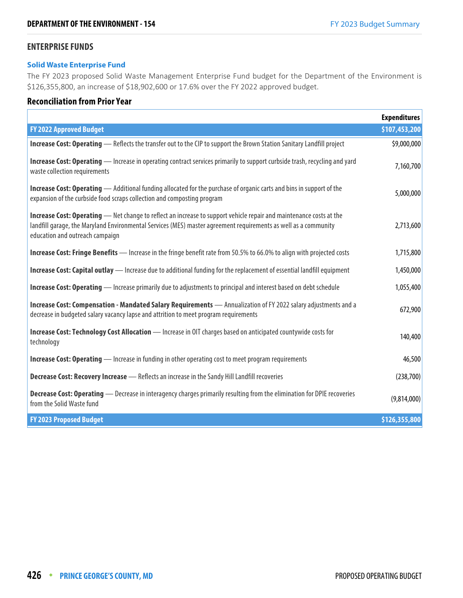#### **ENTERPRISE FUNDS**

#### **Solid Waste Enterprise Fund**

The FY 2023 proposed Solid Waste Management Enterprise Fund budget for the Department of the Environment is \$126,355,800, an increase of \$18,902,600 or 17.6% over the FY 2022 approved budget.

|                                                                                                                                                                                                                                                                                  | <b>Expenditures</b> |
|----------------------------------------------------------------------------------------------------------------------------------------------------------------------------------------------------------------------------------------------------------------------------------|---------------------|
| <b>FY 2022 Approved Budget</b>                                                                                                                                                                                                                                                   | \$107,453,200       |
| Increase Cost: Operating - Reflects the transfer out to the CIP to support the Brown Station Sanitary Landfill project                                                                                                                                                           | \$9,000,000         |
| <b>Increase Cost: Operating</b> — Increase in operating contract services primarily to support curbside trash, recycling and yard<br>waste collection requirements                                                                                                               | 7,160,700           |
| <b>Increase Cost: Operating</b> — Additional funding allocated for the purchase of organic carts and bins in support of the<br>expansion of the curbside food scraps collection and composting program                                                                           | 5,000,000           |
| <b>Increase Cost: Operating</b> - Net change to reflect an increase to support vehicle repair and maintenance costs at the<br>landfill garage, the Maryland Environmental Services (MES) master agreement requirements as well as a community<br>education and outreach campaign | 2,713,600           |
| <b>Increase Cost: Fringe Benefits</b> — Increase in the fringe benefit rate from 50.5% to 66.0% to align with projected costs                                                                                                                                                    | 1,715,800           |
| Increase Cost: Capital outlay - Increase due to additional funding for the replacement of essential landfill equipment                                                                                                                                                           | 1,450,000           |
| <b>Increase Cost: Operating</b> — Increase primarily due to adjustments to principal and interest based on debt schedule                                                                                                                                                         | 1,055,400           |
| Increase Cost: Compensation - Mandated Salary Requirements - Annualization of FY 2022 salary adjustments and a<br>decrease in budgeted salary vacancy lapse and attrition to meet program requirements                                                                           | 672,900             |
| Increase Cost: Technology Cost Allocation - Increase in OIT charges based on anticipated countywide costs for<br>technology                                                                                                                                                      | 140,400             |
| <b>Increase Cost: Operating</b> — Increase in funding in other operating cost to meet program requirements                                                                                                                                                                       | 46,500              |
| Decrease Cost: Recovery Increase - Reflects an increase in the Sandy Hill Landfill recoveries                                                                                                                                                                                    | (238,700)           |
| <b>Decrease Cost: Operating</b> — Decrease in interagency charges primarily resulting from the elimination for DPIE recoveries<br>from the Solid Waste fund                                                                                                                      | (9,814,000)         |
| <b>FY 2023 Proposed Budget</b>                                                                                                                                                                                                                                                   | \$126,355,800       |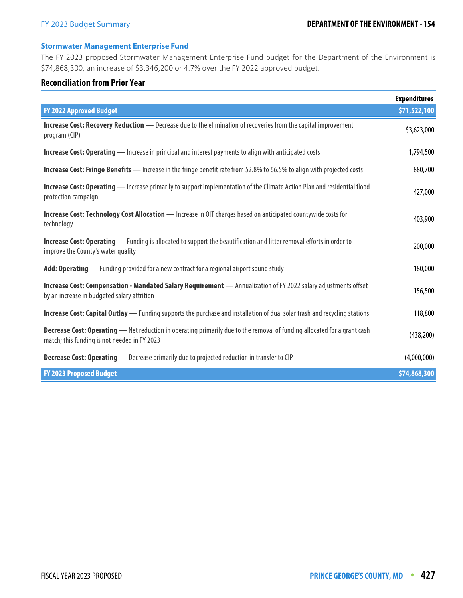#### **Stormwater Management Enterprise Fund**

The FY 2023 proposed Stormwater Management Enterprise Fund budget for the Department of the Environment is \$74,868,300, an increase of \$3,346,200 or 4.7% over the FY 2022 approved budget.

|                                                                                                                                                                                 | <b>Expenditures</b> |
|---------------------------------------------------------------------------------------------------------------------------------------------------------------------------------|---------------------|
| <b>FY 2022 Approved Budget</b>                                                                                                                                                  | \$71,522,100        |
| <b>Increase Cost: Recovery Reduction</b> - Decrease due to the elimination of recoveries from the capital improvement<br>program (CIP)                                          | \$3,623,000         |
| Increase Cost: Operating - Increase in principal and interest payments to align with anticipated costs                                                                          | 1,794,500           |
| <b>Increase Cost: Fringe Benefits</b> — Increase in the fringe benefit rate from 52.8% to 66.5% to align with projected costs                                                   | 880,700             |
| <b>Increase Cost: Operating</b> — Increase primarily to support implementation of the Climate Action Plan and residential flood<br>protection campaign                          | 427,000             |
| Increase Cost: Technology Cost Allocation - Increase in OIT charges based on anticipated countywide costs for<br>technology                                                     | 403,900             |
| <b>Increase Cost: Operating</b> — Funding is allocated to support the beautification and litter removal efforts in order to<br>improve the County's water quality               | 200,000             |
| <b>Add: Operating</b> — Funding provided for a new contract for a regional airport sound study                                                                                  | 180,000             |
| Increase Cost: Compensation - Mandated Salary Requirement - Annualization of FY 2022 salary adjustments offset<br>by an increase in budgeted salary attrition                   | 156,500             |
| <b>Increase Cost: Capital Outlay</b> — Funding supports the purchase and installation of dual solar trash and recycling stations                                                | 118,800             |
| <b>Decrease Cost: Operating</b> — Net reduction in operating primarily due to the removal of funding allocated for a grant cash<br>match; this funding is not needed in FY 2023 | (438, 200)          |
| <b>Decrease Cost: Operating</b> - Decrease primarily due to projected reduction in transfer to CIP                                                                              | (4,000,000)         |
| <b>FY 2023 Proposed Budget</b>                                                                                                                                                  | \$74,868,300        |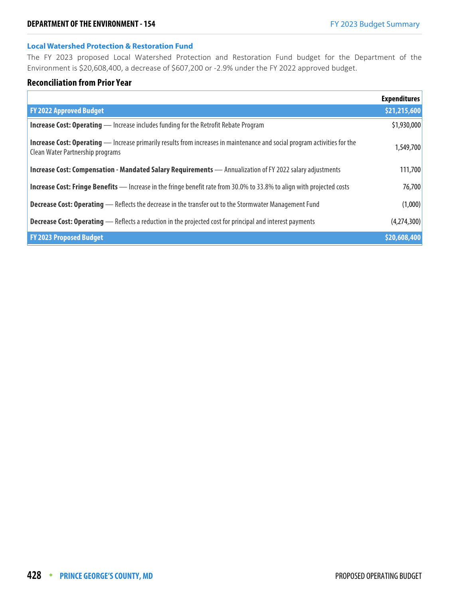#### **Local Watershed Protection & Restoration Fund**

The FY 2023 proposed Local Watershed Protection and Restoration Fund budget for the Department of the Environment is \$20,608,400, a decrease of \$607,200 or -2.9% under the FY 2022 approved budget.

|                                                                                                                                                                      | <b>Expenditures</b> |
|----------------------------------------------------------------------------------------------------------------------------------------------------------------------|---------------------|
| <b>FY 2022 Approved Budget</b>                                                                                                                                       | \$21,215,600        |
| <b>Increase Cost: Operating</b> — Increase includes funding for the Retrofit Rebate Program                                                                          | \$1,930,000         |
| <b>Increase Cost: Operating</b> — Increase primarily results from increases in maintenance and social program activities for the<br>Clean Water Partnership programs | 1,549,700           |
| Increase Cost: Compensation - Mandated Salary Requirements - Annualization of FY 2022 salary adjustments                                                             | 111,700             |
| <b>Increase Cost: Fringe Benefits</b> — Increase in the fringe benefit rate from 30.0% to 33.8% to align with projected costs                                        | 76,700              |
| <b>Decrease Cost: Operating</b> - Reflects the decrease in the transfer out to the Stormwater Management Fund                                                        | (1,000)             |
| <b>Decrease Cost: Operating</b> — Reflects a reduction in the projected cost for principal and interest payments                                                     | (4,274,300)         |
| <b>FY 2023 Proposed Budget</b>                                                                                                                                       | \$20,608,400        |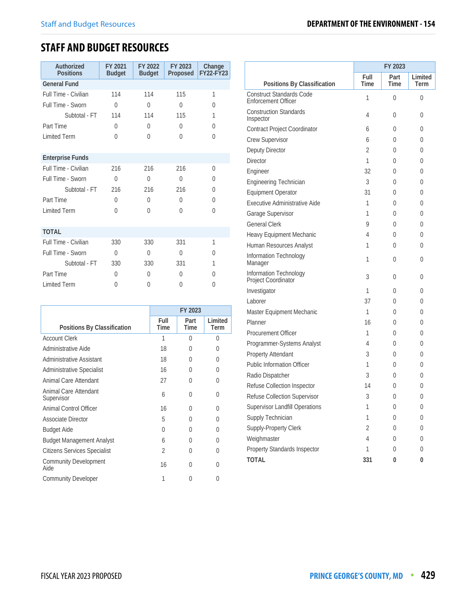# **STAFF AND BUDGET RESOURCES**

| Authorized<br><b>Positions</b> | FY 2021<br><b>Budget</b> | FY 2022<br><b>Budget</b> | FY 2023<br>Proposed | Change<br><b>FY22-FY23</b> |
|--------------------------------|--------------------------|--------------------------|---------------------|----------------------------|
| <b>General Fund</b>            |                          |                          |                     |                            |
| Full Time - Civilian           | 114                      | 114                      | 115                 | 1                          |
| Full Time - Sworn              | $\Omega$                 | $\Omega$                 | $\Omega$            | $\Omega$                   |
| Subtotal - FT                  | 114                      | 114                      | 115                 | 1                          |
| Part Time                      | 0                        | $\Omega$                 | $\Omega$            | 0                          |
| <b>Limited Term</b>            | $\Omega$                 | $\Omega$                 | 0                   | 0                          |
|                                |                          |                          |                     |                            |
| <b>Enterprise Funds</b>        |                          |                          |                     |                            |
| Full Time - Civilian           | 216                      | 216                      | 216                 | 0                          |
| Full Time - Sworn              | $\Omega$                 | $\Omega$                 | $\Omega$            | $\Omega$                   |
| Subtotal - FT                  | 216                      | 216                      | 216                 | $\Omega$                   |
| Part Time                      | 0                        | $\Omega$                 | $\Omega$            | 0                          |
| <b>Limited Term</b>            | $\Omega$                 | $\theta$                 | 0                   | 0                          |
|                                |                          |                          |                     |                            |
| <b>TOTAL</b>                   |                          |                          |                     |                            |
| Full Time - Civilian           | 330                      | 330                      | 331                 | $\mathbf{1}$               |
| Full Time - Sworn              | $\Omega$                 | $\Omega$                 | $\Omega$            | $\Omega$                   |
| Subtotal - FT                  | 330                      | 330                      | 331                 | 1                          |
| Part Time                      | 0                        | $\Omega$                 | $\Omega$            | 0                          |
| <b>Limited Term</b>            | 0                        | $\theta$                 | 0                   | 0                          |

|                                      |              | FY 2023      |                 |  |  |
|--------------------------------------|--------------|--------------|-----------------|--|--|
| Positions By Classification          | Full<br>Time | Part<br>Time | Limited<br>Term |  |  |
| <b>Account Clerk</b>                 | 1            | 0            | 0               |  |  |
| Administrative Aide                  | 18           | U            | 0               |  |  |
| Administrative Assistant             | 18           | 0            | 0               |  |  |
| Administrative Specialist            | 16           | 0            | 0               |  |  |
| Animal Care Attendant                | 27           | 0            | 0               |  |  |
| Animal Care Attendant<br>Supervisor  | 6            | 0            | 0               |  |  |
| <b>Animal Control Officer</b>        | 16           | 0            | 0               |  |  |
| <b>Associate Director</b>            | 5            | 0            | 0               |  |  |
| <b>Budget Aide</b>                   | 0            | U            | U               |  |  |
| <b>Budget Management Analyst</b>     | 6            | 0            | U               |  |  |
| <b>Citizens Services Specialist</b>  | 2            | 0            | 0               |  |  |
| <b>Community Development</b><br>Aide | 16           | 0            | 0               |  |  |
| <b>Community Developer</b>           | 1            | 0            | 0               |  |  |

|                                               | FY 2023             |                  |                  |
|-----------------------------------------------|---------------------|------------------|------------------|
| Positions By Classification                   | Full<br><b>Time</b> | Part<br>Time     | Limited<br>Term  |
| <b>Construct Standards Code</b>               |                     |                  |                  |
| <b>Enforcement Officer</b>                    | 1                   | 0                | 0                |
| <b>Construction Standards</b><br>Inspector    | 4                   | 0                | 0                |
| Contract Project Coordinator                  | 6                   | 0                | 0                |
| Crew Supervisor                               | 6                   | 0                | 0                |
| Deputy Director                               | $\overline{2}$      | 0                | 0                |
| <b>Director</b>                               | 1                   | 0                | 0                |
| Engineer                                      | 32                  | 0                | 0                |
| Engineering Technician                        | 3                   | 0                | 0                |
| <b>Equipment Operator</b>                     | 31                  | 0                | 0                |
| Executive Administrative Aide                 | 1                   | 0                | 0                |
| Garage Supervisor                             | 1                   | 0                | $\theta$         |
| <b>General Clerk</b>                          | 9                   | 0                | 0                |
| Heavy Equipment Mechanic                      | 4                   | 0                | 0                |
| Human Resources Analyst                       | 1                   | 0                | 0                |
| Information Technology<br>Manager             | 1                   | 0                | 0                |
| Information Technology<br>Project Coordinator | 3                   | 0                | 0                |
| Investigator                                  | 1                   | 0                | $\theta$         |
| Laborer                                       | 37                  | 0                | 0                |
| Master Equipment Mechanic                     | 1                   | 0                | 0                |
| Planner                                       | 16                  | 0                | 0                |
| Procurement Officer                           | 1                   | 0                | 0                |
| Programmer-Systems Analyst                    | 4                   | 0                | 0                |
| <b>Property Attendant</b>                     | 3                   | 0                | 0                |
| <b>Public Information Officer</b>             | 1                   | 0                | 0                |
| Radio Dispatcher                              | 3                   | 0                | 0                |
| Refuse Collection Inspector                   | 14                  | $\Omega$         | 0                |
| Refuse Collection Supervisor                  | 3                   | $\boldsymbol{0}$ | $\boldsymbol{0}$ |
| <b>Supervisor Landfill Operations</b>         | 1                   | $\mathbf 0$      | 0                |
| Supply Technician                             | 1                   | 0                | 0                |
| Supply-Property Clerk                         | 2                   | $\mathbf 0$      | 0                |
| Weighmaster                                   | $\overline{4}$      | $\mathbf 0$      | 0                |
| <b>Property Standards Inspector</b>           | 1                   | 0                | 0                |
| <b>TOTAL</b>                                  | 331                 | 0                | 0                |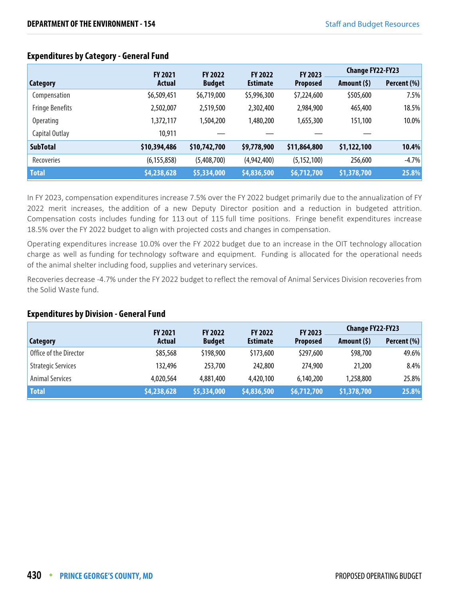|                        | <b>FY 2021</b> | <b>FY 2022</b> | <b>FY 2022</b>  | FY 2023         | <b>Change FY22-FY23</b> |             |
|------------------------|----------------|----------------|-----------------|-----------------|-------------------------|-------------|
| <b>Category</b>        | <b>Actual</b>  | <b>Budget</b>  | <b>Estimate</b> | <b>Proposed</b> | Amount $(5)$            | Percent (%) |
| Compensation           | \$6,509,451    | \$6,719,000    | \$5,996,300     | \$7,224,600     | \$505,600               | 7.5%        |
| <b>Fringe Benefits</b> | 2,502,007      | 2,519,500      | 2,302,400       | 2,984,900       | 465,400                 | 18.5%       |
| <b>Operating</b>       | 1,372,117      | 1,504,200      | 1,480,200       | 1,655,300       | 151,100                 | 10.0%       |
| Capital Outlay         | 10,911         |                |                 |                 |                         |             |
| <b>SubTotal</b>        | \$10,394,486   | \$10,742,700   | \$9,778,900     | \$11,864,800    | \$1,122,100             | 10.4%       |
| Recoveries             | (6, 155, 858)  | (5,408,700)    | (4,942,400)     | (5, 152, 100)   | 256,600                 | $-4.7%$     |
| <b>Total</b>           | \$4,238,628    | \$5,334,000    | \$4,836,500     | \$6,712,700     | \$1,378,700             | 25.8%       |

## **Expenditures by Category - General Fund**

In FY 2023, compensation expenditures increase 7.5% over the FY 2022 budget primarily due to the annualization of FY 2022 merit increases, the addition of a new Deputy Director position and a reduction in budgeted attrition. Compensation costs includes funding for 113 out of 115 full time positions. Fringe benefit expenditures increase 18.5% over the FY 2022 budget to align with projected costs and changes in compensation.

Operating expenditures increase 10.0% over the FY 2022 budget due to an increase in the OIT technology allocation charge as well as funding for technology software and equipment. Funding is allocated for the operational needs of the animal shelter including food, supplies and veterinary services.

Recoveries decrease -4.7% under the FY 2022 budget to reflect the removal of Animal Services Division recoveries from the Solid Waste fund.

#### **Expenditures by Division - General Fund**

|                           | <b>FY 2021</b> | <b>FY 2022</b> | <b>FY 2022</b>  | FY 2023         | <b>Change FY22-FY23</b> |             |
|---------------------------|----------------|----------------|-----------------|-----------------|-------------------------|-------------|
| Category                  | <b>Actual</b>  | <b>Budget</b>  | <b>Estimate</b> | <b>Proposed</b> | Amount $(5)$            | Percent (%) |
| Office of the Director    | \$85,568       | \$198,900      | \$173,600       | \$297,600       | \$98,700                | 49.6%       |
| <b>Strategic Services</b> | 132.496        | 253,700        | 242,800         | 274,900         | 21,200                  | $8.4\%$     |
| <b>Animal Services</b>    | 4,020,564      | 4,881,400      | 4,420,100       | 6,140,200       | 1,258,800               | 25.8%       |
| <b>Total</b>              | \$4,238,628    | \$5,334,000    | \$4,836,500     | \$6,712,700     | \$1,378,700             | 25.8%       |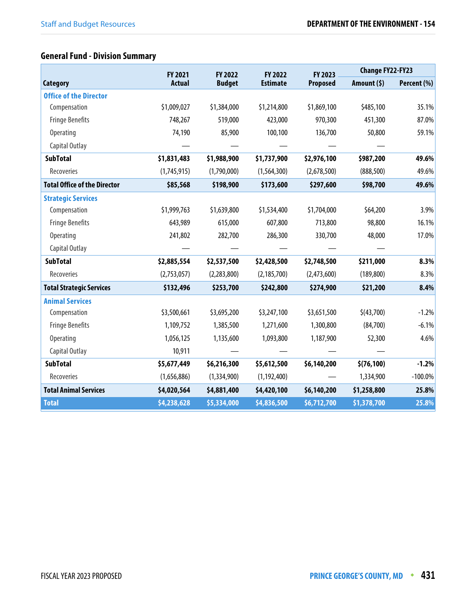# **General Fund - Division Summary**

|                                     | <b>FY 2021</b> | <b>FY 2022</b> | <b>FY 2022</b>  | FY 2023         | <b>Change FY22-FY23</b> |             |
|-------------------------------------|----------------|----------------|-----------------|-----------------|-------------------------|-------------|
| <b>Category</b>                     | <b>Actual</b>  | <b>Budget</b>  | <b>Estimate</b> | <b>Proposed</b> | Amount (\$)             | Percent (%) |
| <b>Office of the Director</b>       |                |                |                 |                 |                         |             |
| Compensation                        | \$1,009,027    | \$1,384,000    | \$1,214,800     | \$1,869,100     | \$485,100               | 35.1%       |
| <b>Fringe Benefits</b>              | 748,267        | 519,000        | 423,000         | 970,300         | 451,300                 | 87.0%       |
| Operating                           | 74,190         | 85,900         | 100,100         | 136,700         | 50,800                  | 59.1%       |
| Capital Outlay                      |                |                |                 |                 |                         |             |
| <b>SubTotal</b>                     | \$1,831,483    | \$1,988,900    | \$1,737,900     | \$2,976,100     | \$987,200               | 49.6%       |
| Recoveries                          | (1,745,915)    | (1,790,000)    | (1, 564, 300)   | (2,678,500)     | (888, 500)              | 49.6%       |
| <b>Total Office of the Director</b> | \$85,568       | \$198,900      | \$173,600       | \$297,600       | \$98,700                | 49.6%       |
| <b>Strategic Services</b>           |                |                |                 |                 |                         |             |
| Compensation                        | \$1,999,763    | \$1,639,800    | \$1,534,400     | \$1,704,000     | \$64,200                | 3.9%        |
| <b>Fringe Benefits</b>              | 643,989        | 615,000        | 607,800         | 713,800         | 98,800                  | 16.1%       |
| <b>Operating</b>                    | 241,802        | 282,700        | 286,300         | 330,700         | 48,000                  | 17.0%       |
| Capital Outlay                      |                |                |                 |                 |                         |             |
| <b>SubTotal</b>                     | \$2,885,554    | \$2,537,500    | \$2,428,500     | \$2,748,500     | \$211,000               | 8.3%        |
| Recoveries                          | (2,753,057)    | (2,283,800)    | (2, 185, 700)   | (2,473,600)     | (189, 800)              | 8.3%        |
| <b>Total Strategic Services</b>     | \$132,496      | \$253,700      | \$242,800       | \$274,900       | \$21,200                | 8.4%        |
| <b>Animal Services</b>              |                |                |                 |                 |                         |             |
| Compensation                        | \$3,500,661    | \$3,695,200    | \$3,247,100     | \$3,651,500     | \$(43,700)              | $-1.2%$     |
| <b>Fringe Benefits</b>              | 1,109,752      | 1,385,500      | 1,271,600       | 1,300,800       | (84,700)                | $-6.1%$     |
| <b>Operating</b>                    | 1,056,125      | 1,135,600      | 1,093,800       | 1,187,900       | 52,300                  | 4.6%        |
| Capital Outlay                      | 10,911         |                |                 |                 |                         |             |
| <b>SubTotal</b>                     | \$5,677,449    | \$6,216,300    | \$5,612,500     | \$6,140,200     | \$(76, 100)             | $-1.2%$     |
| Recoveries                          | (1,656,886)    | (1,334,900)    | (1, 192, 400)   |                 | 1,334,900               | $-100.0\%$  |
| <b>Total Animal Services</b>        | \$4,020,564    | \$4,881,400    | \$4,420,100     | \$6,140,200     | \$1,258,800             | 25.8%       |
| <b>Total</b>                        | \$4,238,628    | \$5,334,000    | \$4,836,500     | \$6,712,700     | \$1,378,700             | 25.8%       |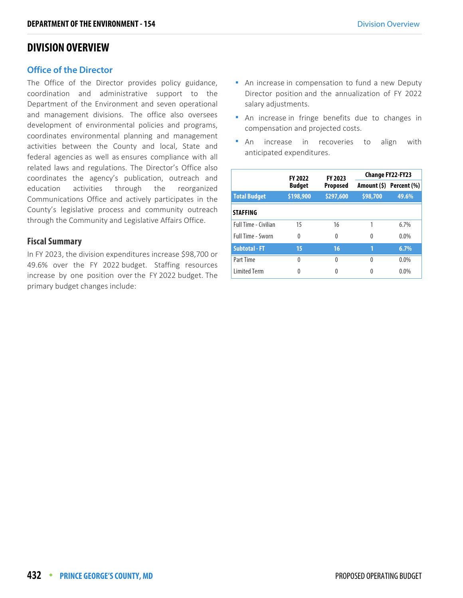#### **Office of the Director**

The Office of the Director provides policy guidance, coordination and administrative support to the Department of the Environment and seven operational and management divisions. The office also oversees development of environmental policies and programs, coordinates environmental planning and management activities between the County and local, State and federal agencies as well as ensures compliance with all related laws and regulations. The Director's Office also coordinates the agency's publication, outreach and education activities through the reorganized Communications Office and actively participates in the County's legislative process and community outreach through the Community and Legislative Affairs Office.

#### **Fiscal Summary**

In FY 2023, the division expenditures increase \$98,700 or 49.6% over the FY 2022 budget. Staffing resources increase by one position over the FY 2022 budget. The primary budget changes include:

- **An increase in compensation to fund a new Deputy** Director position and the annualization of FY 2022 salary adjustments.
- An increase in fringe benefits due to changes in compensation and projected costs.
- **An** increase in recoveries to align with anticipated expenditures.

|                      | <b>FY 2022</b> | FY 2023         |          | <b>Change FY22-FY23</b> |
|----------------------|----------------|-----------------|----------|-------------------------|
|                      | <b>Budget</b>  | <b>Proposed</b> |          | Amount (\$) Percent (%) |
| <b>Total Budget</b>  | \$198,900      | \$297,600       | \$98,700 | 49.6%                   |
| <b>STAFFING</b>      |                |                 |          |                         |
| Full Time - Civilian | 15             | 16              |          | 6.7%                    |
| Full Time - Sworn    | 0              | $\theta$        | 0        | $0.0\%$                 |
| <b>Subtotal - FT</b> | 15             | 16              | П        | 6.7%                    |
| Part Time            | 0              | 0               | 0        | $0.0\%$                 |
| <b>Limited Term</b>  | 0              | 0               | 0        | 0.0%                    |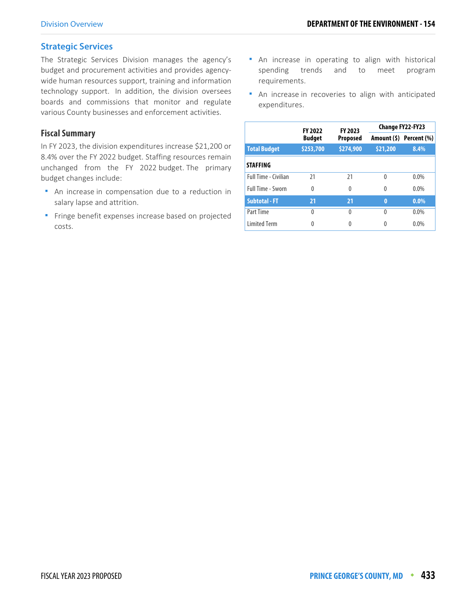#### **Strategic Services**

The Strategic Services Division manages the agency's budget and procurement activities and provides agencywide human resources support, training and information technology support. In addition, the division oversees boards and commissions that monitor and regulate various County businesses and enforcement activities.

#### **Fiscal Summary**

In FY 2023, the division expenditures increase \$21,200 or 8.4% over the FY 2022 budget. Staffing resources remain unchanged from the FY 2022 budget. The primary budget changes include:

- An increase in compensation due to a reduction in salary lapse and attrition.
- **Finge benefit expenses increase based on projected** costs.
- An increase in operating to align with historical spending trends and to meet program requirements.
- **An increase in recoveries to align with anticipated** expenditures.

|                             | <b>FY 2022</b> | FY 2023         |          | Change FY22-FY23        |  |  |
|-----------------------------|----------------|-----------------|----------|-------------------------|--|--|
|                             | <b>Budget</b>  | <b>Proposed</b> |          | Amount (\$) Percent (%) |  |  |
| <b>Total Budget</b>         | \$253,700      | \$274,900       | \$21,200 | 8.4%                    |  |  |
| <b>STAFFING</b>             |                |                 |          |                         |  |  |
| <b>Full Time - Civilian</b> | 21             | 21              | $\Omega$ | $0.0\%$                 |  |  |
| Full Time - Sworn           | $\Omega$       | 0               | $\Omega$ | $0.0\%$                 |  |  |
| <b>Subtotal - FT</b>        | 21             | 21              | $\bf{0}$ | $0.0\%$                 |  |  |
| Part Time                   | $\theta$       | 0               | $\Omega$ | 0.0%                    |  |  |
| <b>Limited Term</b>         | 0              |                 |          | 0.0%                    |  |  |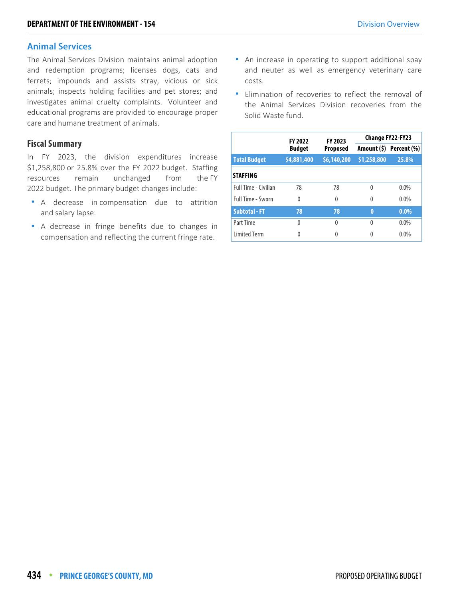#### **Animal Services**

The Animal Services Division maintains animal adoption and redemption programs; licenses dogs, cats and ferrets; impounds and assists stray, vicious or sick animals; inspects holding facilities and pet stores; and investigates animal cruelty complaints. Volunteer and educational programs are provided to encourage proper care and humane treatment of animals.

#### **Fiscal Summary**

In FY 2023, the division expenditures increase \$1,258,800 or 25.8% over the FY 2022 budget. Staffing resources remain unchanged from the FY 2022 budget. The primary budget changes include:

- **A** decrease in compensation due to attrition and salary lapse.
- A decrease in fringe benefits due to changes in compensation and reflecting the current fringe rate.
- **An increase in operating to support additional spay** and neuter as well as emergency veterinary care costs.
- **Elimination of recoveries to reflect the removal of** the Animal Services Division recoveries from the Solid Waste fund.

|                             | <b>FY 2022</b> | <b>FY 2023</b>  | <b>Change FY22-FY23</b> |                         |  |
|-----------------------------|----------------|-----------------|-------------------------|-------------------------|--|
|                             | <b>Budget</b>  | <b>Proposed</b> |                         | Amount (\$) Percent (%) |  |
| <b>Total Budget</b>         | \$4,881,400    | \$6,140,200     | \$1,258,800             | 25.8%                   |  |
| <b>STAFFING</b>             |                |                 |                         |                         |  |
| <b>Full Time - Civilian</b> | 78             | 78              | 0                       | $0.0\%$                 |  |
| Full Time - Sworn           | $\Omega$       | 0               | $\Omega$                | $0.0\%$                 |  |
| <b>Subtotal - FT</b>        | 78             | 78              | $\bf{0}$                | $0.0\%$                 |  |
| Part Time                   | 0              | 0               | 0                       | $0.0\%$                 |  |
| <b>Limited Term</b>         |                |                 |                         | 0.0%                    |  |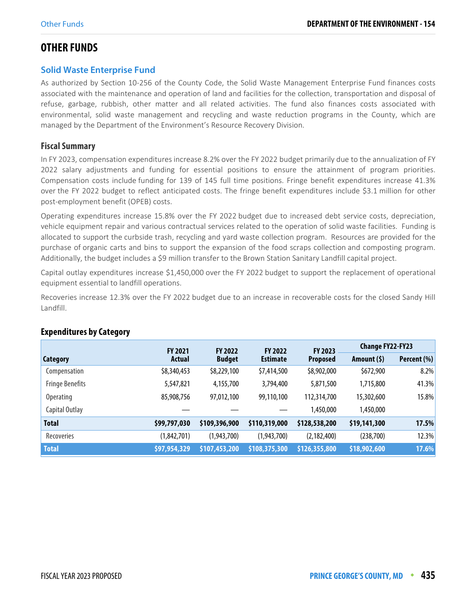# **OTHER FUNDS**

#### **Solid Waste Enterprise Fund**

As authorized by Section 10-256 of the County Code, the Solid Waste Management Enterprise Fund finances costs associated with the maintenance and operation of land and facilities for the collection, transportation and disposal of refuse, garbage, rubbish, other matter and all related activities. The fund also finances costs associated with environmental, solid waste management and recycling and waste reduction programs in the County, which are managed by the Department of the Environment's Resource Recovery Division.

#### **Fiscal Summary**

In FY 2023, compensation expenditures increase 8.2% over the FY 2022 budget primarily due to the annualization of FY 2022 salary adjustments and funding for essential positions to ensure the attainment of program priorities. Compensation costs include funding for 139 of 145 full time positions. Fringe benefit expenditures increase 41.3% over the FY 2022 budget to reflect anticipated costs. The fringe benefit expenditures include \$3.1 million for other post-employment benefit (OPEB) costs.

Operating expenditures increase 15.8% over the FY 2022 budget due to increased debt service costs, depreciation, vehicle equipment repair and various contractual services related to the operation of solid waste facilities. Funding is allocated to support the curbside trash, recycling and yard waste collection program. Resources are provided for the purchase of organic carts and bins to support the expansion of the food scraps collection and composting program. Additionally, the budget includes a \$9 million transfer to the Brown Station Sanitary Landfill capital project.

Capital outlay expenditures increase \$1,450,000 over the FY 2022 budget to support the replacement of operational equipment essential to landfill operations.

Recoveries increase 12.3% over the FY 2022 budget due to an increase in recoverable costs for the closed Sandy Hill Landfill.

| <b>Category</b>        | <b>FY 2021</b> | <b>FY 2022</b> | <b>FY 2022</b>  | FY 2023         | <b>Change FY22-FY23</b> |             |
|------------------------|----------------|----------------|-----------------|-----------------|-------------------------|-------------|
|                        | <b>Actual</b>  | <b>Budget</b>  | <b>Estimate</b> | <b>Proposed</b> | Amount $(5)$            | Percent (%) |
| Compensation           | \$8,340,453    | \$8,229,100    | \$7,414,500     | \$8,902,000     | \$672,900               | 8.2%        |
| <b>Fringe Benefits</b> | 5,547,821      | 4,155,700      | 3,794,400       | 5,871,500       | 1,715,800               | 41.3%       |
| <b>Operating</b>       | 85,908,756     | 97,012,100     | 99,110,100      | 112,314,700     | 15,302,600              | 15.8%       |
| Capital Outlay         |                |                |                 | 1,450,000       | 1,450,000               |             |
| <b>Total</b>           | \$99,797,030   | \$109,396,900  | \$110,319,000   | \$128,538,200   | \$19,141,300            | 17.5%       |
| Recoveries             | (1,842,701)    | (1,943,700)    | (1,943,700)     | (2, 182, 400)   | (238,700)               | 12.3%       |
| <b>Total</b>           | \$97,954,329   | \$107,453,200  | \$108,375,300   | \$126,355,800   | \$18,902,600            | 17.6%       |

### **Expenditures by Category**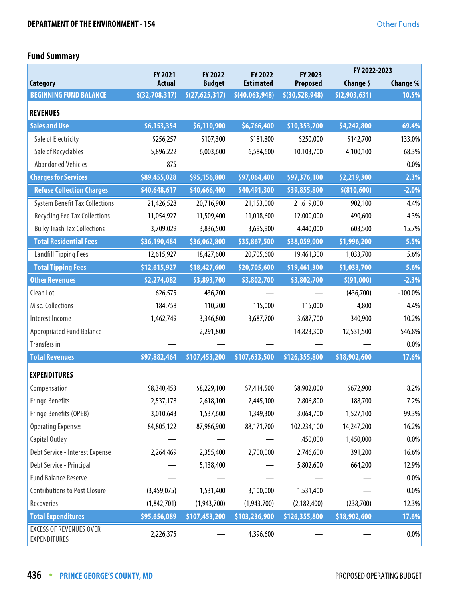# **Fund Summary**

|                                                | FY 2021        | FY 2022          | FY 2022          | FY 2023         | FY 2022-2023  |            |
|------------------------------------------------|----------------|------------------|------------------|-----------------|---------------|------------|
| Category                                       | <b>Actual</b>  | <b>Budget</b>    | <b>Estimated</b> | <b>Proposed</b> | Change \$     | Change %   |
| <b>BEGINNING FUND BALANCE</b>                  | \$(32,708,317) | \$(27, 625, 317) | \$(40,063,948)   | \$(30,528,948)  | \$(2,903,631) | 10.5%      |
| <b>REVENUES</b>                                |                |                  |                  |                 |               |            |
| <b>Sales and Use</b>                           | \$6,153,354    | \$6,110,900      | \$6,766,400      | \$10,353,700    | \$4,242,800   | 69.4%      |
| Sale of Electricity                            | \$256,257      | \$107,300        | \$181,800        | \$250,000       | \$142,700     | 133.0%     |
| Sale of Recyclables                            | 5,896,222      | 6,003,600        | 6,584,600        | 10,103,700      | 4,100,100     | 68.3%      |
| <b>Abandoned Vehicles</b>                      | 875            |                  |                  |                 |               | $0.0\%$    |
| <b>Charges for Services</b>                    | \$89,455,028   | \$95,156,800     | \$97,064,400     | \$97,376,100    | \$2,219,300   | 2.3%       |
| <b>Refuse Collection Charges</b>               | \$40,648,617   | \$40,666,400     | \$40,491,300     | \$39,855,800    | \$(810,600)   | $-2.0%$    |
| <b>System Benefit Tax Collections</b>          | 21,426,528     | 20,716,900       | 21,153,000       | 21,619,000      | 902,100       | 4.4%       |
| <b>Recycling Fee Tax Collections</b>           | 11,054,927     | 11,509,400       | 11,018,600       | 12,000,000      | 490,600       | 4.3%       |
| <b>Bulky Trash Tax Collections</b>             | 3,709,029      | 3,836,500        | 3,695,900        | 4,440,000       | 603,500       | 15.7%      |
| <b>Total Residential Fees</b>                  | \$36,190,484   | \$36,062,800     | \$35,867,500     | \$38,059,000    | \$1,996,200   | 5.5%       |
| <b>Landfill Tipping Fees</b>                   | 12,615,927     | 18,427,600       | 20,705,600       | 19,461,300      | 1,033,700     | 5.6%       |
| <b>Total Tipping Fees</b>                      | \$12,615,927   | \$18,427,600     | \$20,705,600     | \$19,461,300    | \$1,033,700   | 5.6%       |
| <b>Other Revenues</b>                          | \$2,274,082    | \$3,893,700      | \$3,802,700      | \$3,802,700     | \$(91,000)    | $-2.3%$    |
| Clean Lot                                      | 626,575        | 436,700          |                  |                 | (436,700)     | $-100.0\%$ |
| Misc. Collections                              | 184,758        | 110,200          | 115,000          | 115,000         | 4,800         | 4.4%       |
| Interest Income                                | 1,462,749      | 3,346,800        | 3,687,700        | 3,687,700       | 340,900       | 10.2%      |
| <b>Appropriated Fund Balance</b>               |                | 2,291,800        |                  | 14,823,300      | 12,531,500    | 546.8%     |
| Transfers in                                   |                |                  |                  |                 |               | 0.0%       |
| <b>Total Revenues</b>                          | \$97,882,464   | \$107,453,200    | \$107,633,500    | \$126,355,800   | \$18,902,600  | 17.6%      |
| <b>EXPENDITURES</b>                            |                |                  |                  |                 |               |            |
| Compensation                                   | \$8,340,453    | \$8,229,100      | \$7,414,500      | \$8,902,000     | \$672,900     | 8.2%       |
| <b>Fringe Benefits</b>                         | 2,537,178      | 2,618,100        | 2,445,100        | 2,806,800       | 188,700       | 7.2%       |
| Fringe Benefits (OPEB)                         | 3,010,643      | 1,537,600        | 1,349,300        | 3,064,700       | 1,527,100     | 99.3%      |
| <b>Operating Expenses</b>                      | 84,805,122     | 87,986,900       | 88,171,700       | 102,234,100     | 14,247,200    | 16.2%      |
| Capital Outlay                                 |                |                  |                  | 1,450,000       | 1,450,000     | $0.0\%$    |
| Debt Service - Interest Expense                | 2,264,469      | 2,355,400        | 2,700,000        | 2,746,600       | 391,200       | 16.6%      |
| Debt Service - Principal                       |                | 5,138,400        |                  | 5,802,600       | 664,200       | 12.9%      |
| <b>Fund Balance Reserve</b>                    |                |                  |                  |                 |               | $0.0\%$    |
| <b>Contributions to Post Closure</b>           | (3,459,075)    | 1,531,400        | 3,100,000        | 1,531,400       |               | $0.0\%$    |
| Recoveries                                     | (1,842,701)    | (1,943,700)      | (1,943,700)      | (2, 182, 400)   | (238,700)     | 12.3%      |
| <b>Total Expenditures</b>                      | \$95,656,089   | \$107,453,200    | \$103,236,900    | \$126,355,800   | \$18,902,600  | 17.6%      |
| <b>EXCESS OF REVENUES OVER</b><br>EXPENDITURES | 2,226,375      |                  | 4,396,600        |                 |               | $0.0\%$    |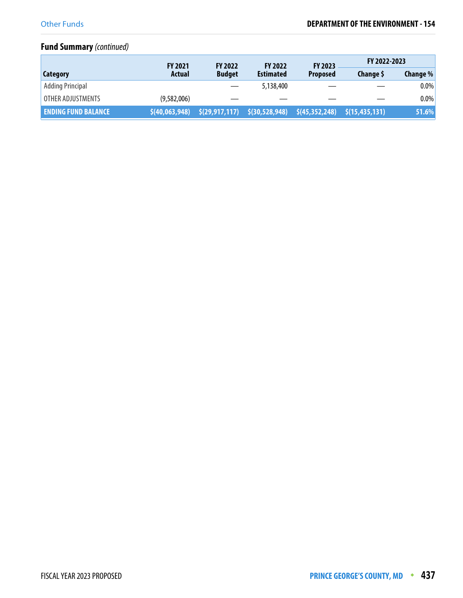## **Fund Summary** (continued)

|                            | <b>FY 2021</b> | <b>FY 2022</b>                          | <b>FY 2022</b>   | <b>FY 2023</b>  | FY 2022-2023     |          |
|----------------------------|----------------|-----------------------------------------|------------------|-----------------|------------------|----------|
| Category                   | Actual         | <b>Budget</b>                           | <b>Estimated</b> | <b>Proposed</b> | Change \$        | Change % |
| <b>Adding Principal</b>    |                |                                         | 5,138,400        |                 |                  | $0.0\%$  |
| OTHER ADJUSTMENTS          | (9,582,006)    |                                         |                  |                 |                  | $0.0\%$  |
| <b>ENDING FUND BALANCE</b> | 5(40,063,948)  | $\zeta(29,917,117)$ $\zeta(30,528,948)$ |                  | \$(45,352,248)  | \$(15, 435, 131) | 51.6%    |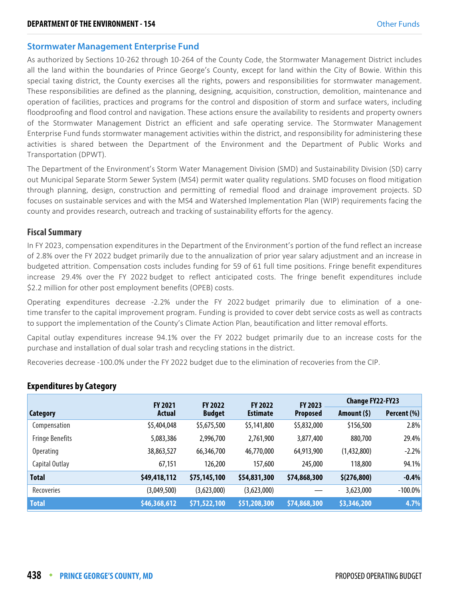#### **Stormwater Management Enterprise Fund**

As authorized by Sections 10-262 through 10-264 of the County Code, the Stormwater Management District includes all the land within the boundaries of Prince George's County, except for land within the City of Bowie. Within this special taxing district, the County exercises all the rights, powers and responsibilities for stormwater management. These responsibilities are defined as the planning, designing, acquisition, construction, demolition, maintenance and operation of facilities, practices and programs for the control and disposition of storm and surface waters, including floodproofing and flood control and navigation. These actions ensure the availability to residents and property owners of the Stormwater Management District an efficient and safe operating service. The Stormwater Management Enterprise Fund funds stormwater management activities within the district, and responsibility for administering these activities is shared between the Department of the Environment and the Department of Public Works and Transportation (DPWT).

The Department of the Environment's Storm Water Management Division (SMD) and Sustainability Division (SD) carry out Municipal Separate Storm Sewer System (MS4) permit water quality regulations. SMD focuses on flood mitigation through planning, design, construction and permitting of remedial flood and drainage improvement projects. SD focuses on sustainable services and with the MS4 and Watershed Implementation Plan (WIP) requirements facing the county and provides research, outreach and tracking of sustainability efforts for the agency.

#### **Fiscal Summary**

In FY 2023, compensation expenditures in the Department of the Environment's portion of the fund reflect an increase of 2.8% over the FY 2022 budget primarily due to the annualization of prior year salary adjustment and an increase in budgeted attrition. Compensation costs includes funding for 59 of 61 full time positions. Fringe benefit expenditures increase 29.4% over the FY 2022 budget to reflect anticipated costs. The fringe benefit expenditures include \$2.2 million for other post employment benefits (OPEB) costs.

Operating expenditures decrease -2.2% under the FY 2022 budget primarily due to elimination of a onetime transfer to the capital improvement program. Funding is provided to cover debt service costs as well as contracts to support the implementation of the County's Climate Action Plan, beautification and litter removal efforts.

Capital outlay expenditures increase 94.1% over the FY 2022 budget primarily due to an increase costs for the purchase and installation of dual solar trash and recycling stations in the district.

Recoveries decrease -100.0% under the FY 2022 budget due to the elimination of recoveries from the CIP.

|                        | <b>FY 2021</b> | <b>FY 2022</b><br><b>FY 2023</b><br><b>FY 2022</b> |                 | <b>Change FY22-FY23</b> |              |             |
|------------------------|----------------|----------------------------------------------------|-----------------|-------------------------|--------------|-------------|
| <b>Category</b>        | Actual         | <b>Budget</b>                                      | <b>Estimate</b> | <b>Proposed</b>         | Amount $(5)$ | Percent (%) |
| Compensation           | \$5,404,048    | \$5,675,500                                        | \$5,141,800     | \$5,832,000             | \$156,500    | 2.8%        |
| <b>Fringe Benefits</b> | 5,083,386      | 2,996,700                                          | 2,761,900       | 3,877,400               | 880,700      | 29.4%       |
| <b>Operating</b>       | 38,863,527     | 66,346,700                                         | 46,770,000      | 64,913,900              | (1,432,800)  | $-2.2%$     |
| Capital Outlay         | 67,151         | 126,200                                            | 157,600         | 245,000                 | 118,800      | 94.1%       |
| <b>Total</b>           | \$49,418,112   | \$75,145,100                                       | \$54,831,300    | \$74,868,300            | \$(276,800)  | $-0.4%$     |
| Recoveries             | (3,049,500)    | (3,623,000)                                        | (3,623,000)     |                         | 3,623,000    | $-100.0\%$  |
| <b>Total</b>           | \$46,368,612   | \$71,522,100                                       | \$51,208,300    | \$74,868,300            | \$3,346,200  | 4.7%        |

#### **Expenditures by Category**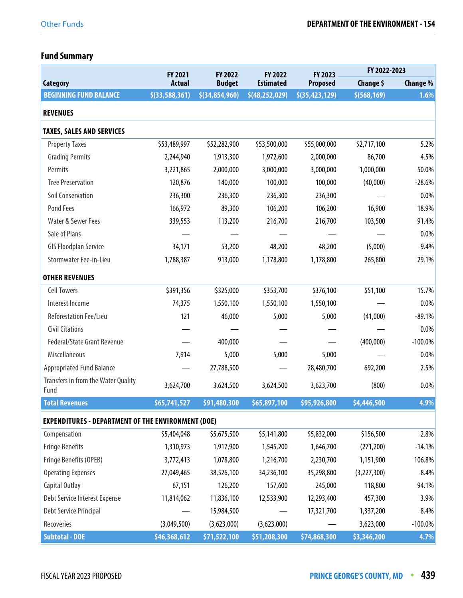# **Fund Summary**

|                                                           | FY 2021          | FY 2022        | FY 2022          | FY 2023          | FY 2022-2023  |            |
|-----------------------------------------------------------|------------------|----------------|------------------|------------------|---------------|------------|
| <b>Category</b>                                           | <b>Actual</b>    | <b>Budget</b>  | <b>Estimated</b> | <b>Proposed</b>  | Change \$     | Change %   |
| <b>BEGINNING FUND BALANCE</b>                             | \$(33, 588, 361) | \$(34,854,960) | \$(48, 252, 029) | \$(35, 423, 129) | \$ (568, 169) | 1.6%       |
| <b>REVENUES</b>                                           |                  |                |                  |                  |               |            |
| <b>TAXES, SALES AND SERVICES</b>                          |                  |                |                  |                  |               |            |
| <b>Property Taxes</b>                                     | \$53,489,997     | \$52,282,900   | \$53,500,000     | \$55,000,000     | \$2,717,100   | 5.2%       |
| <b>Grading Permits</b>                                    | 2,244,940        | 1,913,300      | 1,972,600        | 2,000,000        | 86,700        | 4.5%       |
| Permits                                                   | 3,221,865        | 2,000,000      | 3,000,000        | 3,000,000        | 1,000,000     | 50.0%      |
| <b>Tree Preservation</b>                                  | 120,876          | 140,000        | 100,000          | 100,000          | (40,000)      | $-28.6%$   |
| Soil Conservation                                         | 236,300          | 236,300        | 236,300          | 236,300          |               | $0.0\%$    |
| Pond Fees                                                 | 166,972          | 89,300         | 106,200          | 106,200          | 16,900        | 18.9%      |
| Water & Sewer Fees                                        | 339,553          | 113,200        | 216,700          | 216,700          | 103,500       | 91.4%      |
| Sale of Plans                                             |                  |                |                  |                  |               | 0.0%       |
| <b>GIS Floodplan Service</b>                              | 34,171           | 53,200         | 48,200           | 48,200           | (5,000)       | $-9.4%$    |
| <b>Stormwater Fee-in-Lieu</b>                             | 1,788,387        | 913,000        | 1,178,800        | 1,178,800        | 265,800       | 29.1%      |
| <b>OTHER REVENUES</b>                                     |                  |                |                  |                  |               |            |
| <b>Cell Towers</b>                                        | \$391,356        | \$325,000      | \$353,700        | \$376,100        | \$51,100      | 15.7%      |
| Interest Income                                           | 74,375           | 1,550,100      | 1,550,100        | 1,550,100        |               | $0.0\%$    |
| Reforestation Fee/Lieu                                    | 121              | 46,000         | 5,000            | 5,000            | (41,000)      | $-89.1%$   |
| <b>Civil Citations</b>                                    |                  |                |                  |                  |               | $0.0\%$    |
| Federal/State Grant Revenue                               |                  | 400,000        |                  |                  | (400,000)     | $-100.0\%$ |
| Miscellaneous                                             | 7,914            | 5,000          | 5,000            | 5,000            |               | $0.0\%$    |
| <b>Appropriated Fund Balance</b>                          |                  | 27,788,500     |                  | 28,480,700       | 692,200       | 2.5%       |
| Transfers in from the Water Quality<br>Fund               | 3,624,700        | 3,624,500      | 3,624,500        | 3,623,700        | (800)         | 0.0%       |
| <b>Total Revenues</b>                                     | \$65,741,527     | \$91,480,300   | \$65,897,100     | \$95,926,800     | \$4,446,500   | 4.9%       |
| <b>EXPENDITURES - DEPARTMENT OF THE ENVIRONMENT (DOE)</b> |                  |                |                  |                  |               |            |
| Compensation                                              | \$5,404,048      | \$5,675,500    | \$5,141,800      | \$5,832,000      | \$156,500     | 2.8%       |
| <b>Fringe Benefits</b>                                    | 1,310,973        | 1,917,900      | 1,545,200        | 1,646,700        | (271, 200)    | $-14.1%$   |
| Fringe Benefits (OPEB)                                    | 3,772,413        | 1,078,800      | 1,216,700        | 2,230,700        | 1,151,900     | 106.8%     |
| <b>Operating Expenses</b>                                 | 27,049,465       | 38,526,100     | 34,236,100       | 35,298,800       | (3,227,300)   | $-8.4%$    |
| Capital Outlay                                            | 67,151           | 126,200        | 157,600          | 245,000          | 118,800       | 94.1%      |
| Debt Service Interest Expense                             | 11,814,062       | 11,836,100     | 12,533,900       | 12,293,400       | 457,300       | 3.9%       |
| Debt Service Principal                                    |                  | 15,984,500     |                  | 17,321,700       | 1,337,200     | 8.4%       |
| Recoveries                                                | (3,049,500)      | (3,623,000)    | (3,623,000)      |                  | 3,623,000     | $-100.0\%$ |
| <b>Subtotal - DOE</b>                                     | \$46,368,612     | \$71,522,100   | \$51,208,300     | \$74,868,300     | \$3,346,200   | 4.7%       |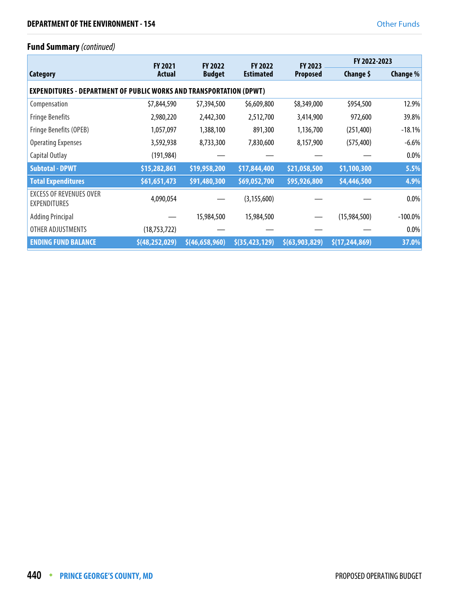## **Fund Summary** (continued)

|                                                                            | <b>FY 2021</b>   | <b>FY 2022</b> | <b>FY 2022</b>   | <b>FY 2023</b><br><b>Proposed</b> | FY 2022-2023     |            |
|----------------------------------------------------------------------------|------------------|----------------|------------------|-----------------------------------|------------------|------------|
| Category                                                                   | Actual           | <b>Budget</b>  | <b>Estimated</b> |                                   | Change \$        | Change %   |
| <b>EXPENDITURES - DEPARTMENT OF PUBLIC WORKS AND TRANSPORTATION (DPWT)</b> |                  |                |                  |                                   |                  |            |
| Compensation                                                               | \$7,844,590      | \$7,394,500    | \$6,609,800      | \$8,349,000                       | \$954,500        | 12.9%      |
| <b>Fringe Benefits</b>                                                     | 2,980,220        | 2,442,300      | 2,512,700        | 3,414,900                         | 972,600          | 39.8%      |
| Fringe Benefits (OPEB)                                                     | 1,057,097        | 1,388,100      | 891,300          | 1,136,700                         | (251, 400)       | $-18.1%$   |
| <b>Operating Expenses</b>                                                  | 3,592,938        | 8,733,300      | 7,830,600        | 8,157,900                         | (575, 400)       | $-6.6%$    |
| Capital Outlay                                                             | (191, 984)       |                |                  |                                   |                  | 0.0%       |
| <b>Subtotal - DPWT</b>                                                     | \$15,282,861     | \$19,958,200   | \$17,844,400     | \$21,058,500                      | \$1,100,300      | 5.5%       |
| <b>Total Expenditures</b>                                                  | \$61,651,473     | \$91,480,300   | \$69,052,700     | \$95,926,800                      | \$4,446,500      | 4.9%       |
| <b>EXCESS OF REVENUES OVER</b><br>EXPENDITURES                             | 4,090,054        |                | (3, 155, 600)    |                                   |                  | 0.0%       |
| <b>Adding Principal</b>                                                    |                  | 15,984,500     | 15,984,500       |                                   | (15,984,500)     | $-100.0\%$ |
| OTHER ADJUSTMENTS                                                          | (18, 753, 722)   |                |                  |                                   |                  | $0.0\%$    |
| <b>ENDING FUND BALANCE</b>                                                 | \$(48, 252, 029) | \$(46,658,960) | \$(35, 423, 129) | \$(63,903,829)                    | \$(17, 244, 869) | 37.0%      |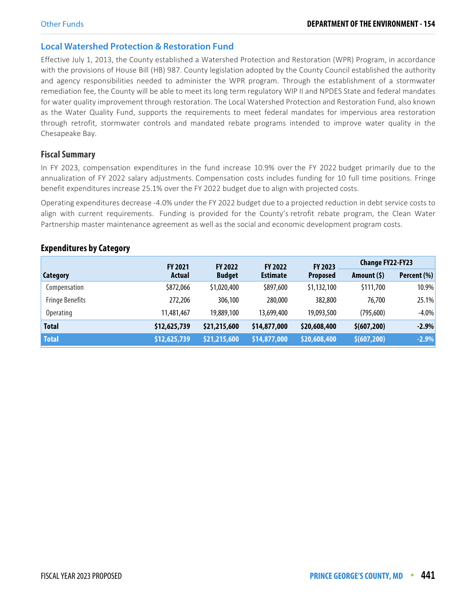#### **Local Watershed Protection & Restoration Fund**

Effective July 1, 2013, the County established a Watershed Protection and Restoration (WPR) Program, in accordance with the provisions of House Bill (HB) 987. County legislation adopted by the County Council established the authority and agency responsibilities needed to administer the WPR program. Through the establishment of a stormwater remediation fee, the County will be able to meet its long term regulatory WIP II and NPDES State and federal mandates for water quality improvement through restoration. The Local Watershed Protection and Restoration Fund, also known as the Water Quality Fund, supports the requirements to meet federal mandates for impervious area restoration through retrofit, stormwater controls and mandated rebate programs intended to improve water quality in the Chesapeake Bay.

#### **Fiscal Summary**

In FY 2023, compensation expenditures in the fund increase 10.9% over the FY 2022 budget primarily due to the annualization of FY 2022 salary adjustments. Compensation costs includes funding for 10 full time positions. Fringe benefit expenditures increase 25.1% over the FY 2022 budget due to align with projected costs.

Operating expenditures decrease -4.0% under the FY 2022 budget due to a projected reduction in debt service costs to align with current requirements. Funding is provided for the County's retrofit rebate program, the Clean Water Partnership master maintenance agreement as well as the social and economic development program costs.

#### **Expenditures by Category**

|                        | <b>FY 2021</b> | <b>FY 2022</b> | <b>FY 2022</b><br><b>Estimate</b> | FY 2023         |              |             | <b>Change FY22-FY23</b> |
|------------------------|----------------|----------------|-----------------------------------|-----------------|--------------|-------------|-------------------------|
| <b>Category</b>        | Actual         | <b>Budget</b>  |                                   | <b>Proposed</b> | Amount $(5)$ | Percent (%) |                         |
| Compensation           | \$872,066      | \$1,020,400    | \$897,600                         | \$1,132,100     | \$111,700    | $10.9\%$    |                         |
| <b>Fringe Benefits</b> | 272,206        | 306,100        | 280,000                           | 382,800         | 76,700       | 25.1%       |                         |
| <b>Operating</b>       | 11,481,467     | 19,889,100     | 13,699,400                        | 19,093,500      | (795, 600)   | $-4.0\%$    |                         |
| <b>Total</b>           | \$12,625,739   | \$21,215,600   | \$14,877,000                      | \$20,608,400    | \$(607, 200) | $-2.9%$     |                         |
| <b>Total</b>           | \$12,625,739   | \$21,215,600   | \$14,877,000                      | \$20,608,400    | \$(607, 200) | $-2.9%$     |                         |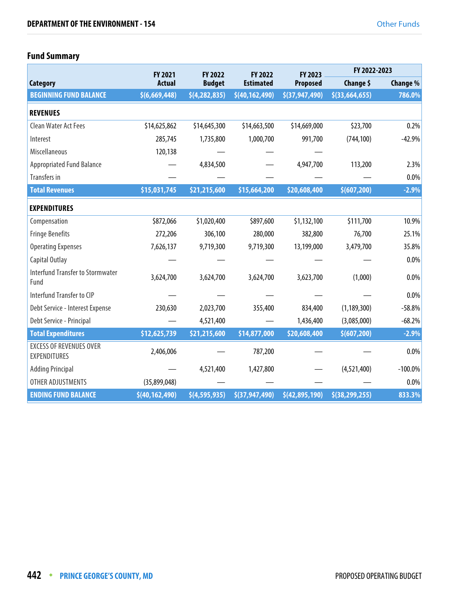# **Fund Summary**

|                                                       | FY 2021          | FY 2022         | FY 2022          | FY 2023         | FY 2022-2023     |            |
|-------------------------------------------------------|------------------|-----------------|------------------|-----------------|------------------|------------|
| Category                                              | <b>Actual</b>    | <b>Budget</b>   | <b>Estimated</b> | Proposed        | Change \$        | Change %   |
| <b>BEGINNING FUND BALANCE</b>                         | \$(6,669,448)    | \$(4, 282, 835) | \$(40, 162, 490) | 5(37, 947, 490) | \$(33, 664, 655) | 786.0%     |
| <b>REVENUES</b>                                       |                  |                 |                  |                 |                  |            |
| Clean Water Act Fees                                  | \$14,625,862     | \$14,645,300    | \$14,663,500     | \$14,669,000    | \$23,700         | 0.2%       |
| Interest                                              | 285,745          | 1,735,800       | 1,000,700        | 991,700         | (744, 100)       | $-42.9%$   |
| Miscellaneous                                         | 120,138          |                 |                  |                 |                  |            |
| <b>Appropriated Fund Balance</b>                      |                  | 4,834,500       |                  | 4,947,700       | 113,200          | 2.3%       |
| Transfers in                                          |                  |                 |                  |                 |                  | 0.0%       |
| <b>Total Revenues</b>                                 | \$15,031,745     | \$21,215,600    | \$15,664,200     | \$20,608,400    | \$(607, 200)     | $-2.9%$    |
| <b>EXPENDITURES</b>                                   |                  |                 |                  |                 |                  |            |
| Compensation                                          | \$872,066        | \$1,020,400     | \$897,600        | \$1,132,100     | \$111,700        | 10.9%      |
| <b>Fringe Benefits</b>                                | 272,206          | 306,100         | 280,000          | 382,800         | 76,700           | 25.1%      |
| <b>Operating Expenses</b>                             | 7,626,137        | 9,719,300       | 9,719,300        | 13,199,000      | 3,479,700        | 35.8%      |
| Capital Outlay                                        |                  |                 |                  |                 |                  | 0.0%       |
| <b>Interfund Transfer to Stormwater</b><br>Fund       | 3,624,700        | 3,624,700       | 3,624,700        | 3,623,700       | (1,000)          | 0.0%       |
| <b>Interfund Transfer to CIP</b>                      |                  |                 |                  |                 |                  | 0.0%       |
| Debt Service - Interest Expense                       | 230,630          | 2,023,700       | 355,400          | 834,400         | (1, 189, 300)    | $-58.8%$   |
| Debt Service - Principal                              |                  | 4,521,400       |                  | 1,436,400       | (3,085,000)      | $-68.2%$   |
| <b>Total Expenditures</b>                             | \$12,625,739     | \$21,215,600    | \$14,877,000     | \$20,608,400    | \$(607, 200)     | $-2.9%$    |
| <b>EXCESS OF REVENUES OVER</b><br><b>EXPENDITURES</b> | 2,406,006        |                 | 787,200          |                 |                  | 0.0%       |
| <b>Adding Principal</b>                               |                  | 4,521,400       | 1,427,800        |                 | (4,521,400)      | $-100.0\%$ |
| OTHER ADJUSTMENTS                                     | (35,899,048)     |                 |                  |                 |                  | 0.0%       |
| <b>ENDING FUND BALANCE</b>                            | \$(40, 162, 490) | \$(4,595,935)   | \$(37, 947, 490) | \$(42,895,190)  | \$(38, 299, 255) | 833.3%     |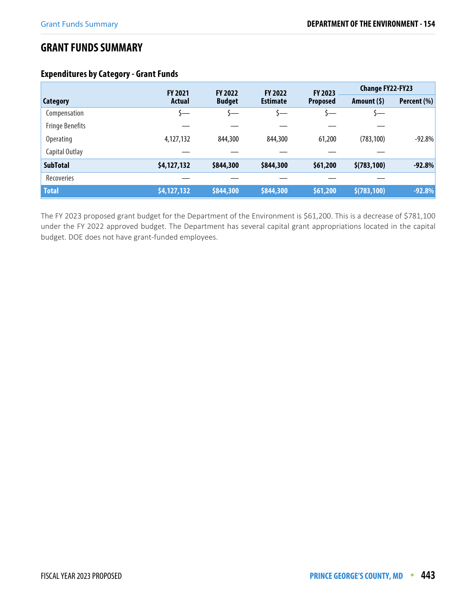# **GRANT FUNDS SUMMARY**

## **Expenditures by Category - Grant Funds**

|                        | FY 2023<br><b>FY 2022</b><br><b>FY 2022</b><br><b>FY 2021</b> | <b>Change FY22-FY23</b> |                 |                 |              |             |
|------------------------|---------------------------------------------------------------|-------------------------|-----------------|-----------------|--------------|-------------|
| <b>Category</b>        | <b>Actual</b>                                                 | <b>Budget</b>           | <b>Estimate</b> | <b>Proposed</b> | Amount $(5)$ | Percent (%) |
| Compensation           | s—                                                            | S—                      | S—              |                 | Ş—           |             |
| <b>Fringe Benefits</b> |                                                               |                         |                 |                 |              |             |
| <b>Operating</b>       | 4,127,132                                                     | 844,300                 | 844,300         | 61,200          | (783, 100)   | $-92.8%$    |
| Capital Outlay         |                                                               |                         |                 |                 |              |             |
| <b>SubTotal</b>        | \$4,127,132                                                   | \$844,300               | \$844,300       | \$61,200        | \$(783, 100) | $-92.8%$    |
| Recoveries             |                                                               |                         |                 |                 |              |             |
| <b>Total</b>           | \$4,127,132                                                   | \$844,300               | \$844,300       | \$61,200        | \$(783, 100) | $-92.8%$    |

The FY 2023 proposed grant budget for the Department of the Environment is \$61,200. This is a decrease of \$781,100 under the FY 2022 approved budget. The Department has several capital grant appropriations located in the capital budget. DOE does not have grant-funded employees.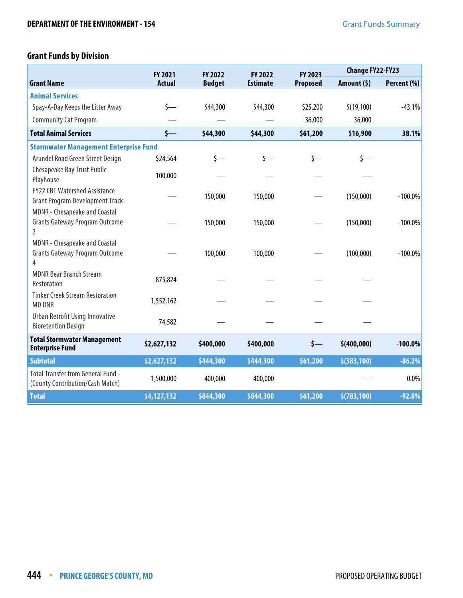# **Grant Funds by Division**

|                                                                               | <b>FY 2021</b> | FY 2022       | <b>FY 2022</b>  |                 | <b>Change FY22-FY23</b><br>FY 2023 |             |
|-------------------------------------------------------------------------------|----------------|---------------|-----------------|-----------------|------------------------------------|-------------|
| <b>Grant Name</b>                                                             | <b>Actual</b>  | <b>Budget</b> | <b>Estimate</b> | <b>Proposed</b> | Amount $(5)$                       | Percent (%) |
| <b>Animal Services</b>                                                        |                |               |                 |                 |                                    |             |
| Spay-A-Day Keeps the Litter Away                                              |                | \$44,300      | \$44,300        | \$25,200        | \$(19, 100)                        | $-43.1%$    |
| <b>Community Cat Program</b>                                                  |                |               |                 | 36,000          | 36,000                             |             |
| <b>Total Animal Services</b>                                                  | $\frac{1}{2}$  | \$44,300      | \$44,300        | \$61,200        | \$16,900                           | 38.1%       |
| <b>Stormwater Management Enterprise Fund</b>                                  |                |               |                 |                 |                                    |             |
| Arundel Road Green Street Design                                              | \$24,564       | s—            | $\zeta$ —       | s—              | \$—                                |             |
| Chesapeake Bay Trust Public<br>Playhouse                                      | 100,000        |               |                 |                 |                                    |             |
| FY22 CBT Watershed Assistance<br><b>Grant Program Development Track</b>       |                | 150,000       | 150,000         |                 | (150,000)                          | $-100.0\%$  |
| MDNR - Chesapeake and Coastal<br><b>Grants Gateway Program Outcome</b><br>2   |                | 150,000       | 150,000         |                 | (150,000)                          | $-100.0\%$  |
| MDNR - Chesapeake and Coastal<br><b>Grants Gateway Program Outcome</b><br>4   |                | 100,000       | 100,000         |                 | (100,000)                          | $-100.0%$   |
| <b>MDNR Bear Branch Stream</b><br>Restoration                                 | 875,824        |               |                 |                 |                                    |             |
| <b>Tinker Creek Stream Restoration</b><br><b>MD DNR</b>                       | 1,552,162      |               |                 |                 |                                    |             |
| Urban Retrofit Using Innovative<br><b>Bioretention Design</b>                 | 74,582         |               |                 |                 |                                    |             |
| <b>Total Stormwater Management</b><br><b>Enterprise Fund</b>                  | \$2,627,132    | \$400,000     | \$400,000       | $\mathsf{s}-$   | \$(400,000)                        | $-100.0%$   |
| <b>Subtotal</b>                                                               | \$2,627,132    | \$444,300     | \$444,300       | \$61,200        | \$(383,100)                        | $-86.2%$    |
| <b>Total Transfer from General Fund -</b><br>(County Contribution/Cash Match) | 1,500,000      | 400,000       | 400,000         |                 |                                    | $0.0\%$     |
| <b>Total</b>                                                                  | \$4,127,132    | \$844,300     | \$844,300       | 561,200         | \$(783, 100)                       | $-92.8%$    |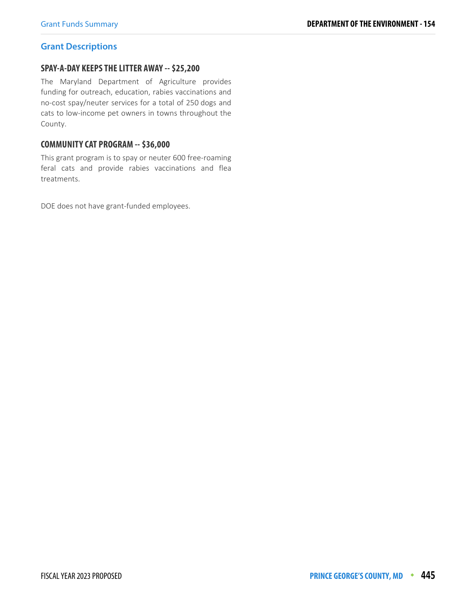#### **Grant Descriptions**

#### **SPAY-A-DAY KEEPS THE LITTER AWAY -- \$25,200**

The Maryland Department of Agriculture provides funding for outreach, education, rabies vaccinations and no-cost spay/neuter services for a total of 250 dogs and cats to low-income pet owners in towns throughout the County.

#### **COMMUNITY CAT PROGRAM -- \$36,000**

This grant program is to spay or neuter 600 free-roaming feral cats and provide rabies vaccinations and flea treatments.

DOE does not have grant-funded employees.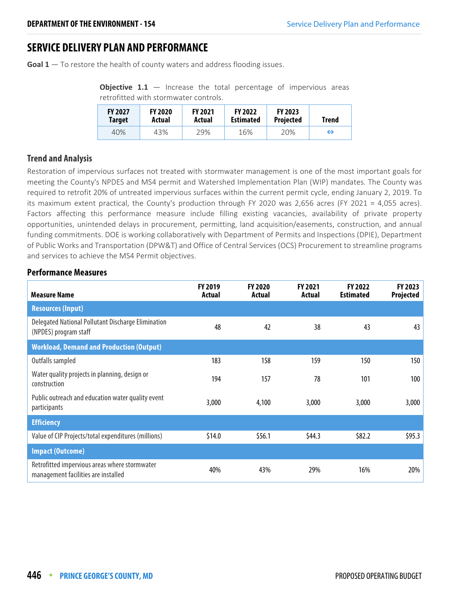# **SERVICE DELIVERY PLAN AND PERFORMANCE**

**Goal 1** – To restore the health of county waters and address flooding issues.

**Objective 1.1** – Increase the total percentage of impervious areas retrofitted with stormwater controls.

| <b>FY 2027</b> | <b>FY 2020</b> | <b>FY 2021</b> | <b>FY 2022</b>   | <b>FY 2023</b>   | Trend |
|----------------|----------------|----------------|------------------|------------------|-------|
| Target         | Actual         | Actual         | <b>Estimated</b> | <b>Projected</b> |       |
| 40%            | 43%            | 29%            | 16%              | 20%              | ⇔     |

#### **Trend and Analysis**

Restoration of impervious surfaces not treated with stormwater management is one of the most important goals for meeting the County's NPDES and MS4 permit and Watershed Implementation Plan (WIP) mandates. The County was required to retrofit 20% of untreated impervious surfaces within the current permit cycle, ending January 2, 2019. To its maximum extent practical, the County's production through FY 2020 was 2,656 acres (FY 2021 = 4,055 acres). Factors affecting this performance measure include filling existing vacancies, availability of private property opportunities, unintended delays in procurement, permitting, land acquisition/easements, construction, and annual funding commitments. DOE is working collaboratively with Department of Permits and Inspections (DPIE), Department of Public Works and Transportation (DPW&T) and Office of Central Services (OCS) Procurement to streamline programs and services to achieve the MS4 Permit objectives.

| <b>Measure Name</b>                                                                  | FY 2019<br>Actual | FY 2020<br>Actual | <b>FY 2021</b><br>Actual | FY 2022<br><b>Estimated</b> | FY 2023<br>Projected |
|--------------------------------------------------------------------------------------|-------------------|-------------------|--------------------------|-----------------------------|----------------------|
| <b>Resources (Input)</b>                                                             |                   |                   |                          |                             |                      |
| Delegated National Pollutant Discharge Elimination<br>(NPDES) program staff          | 48                | 42                | 38                       | 43                          | 43                   |
| <b>Workload, Demand and Production (Output)</b>                                      |                   |                   |                          |                             |                      |
| Outfalls sampled                                                                     | 183               | 158               | 159                      | 150                         | 150                  |
| Water quality projects in planning, design or<br>construction                        | 194               | 157               | 78                       | 101                         | 100                  |
| Public outreach and education water quality event<br>participants                    | 3,000             | 4,100             | 3,000                    | 3,000                       | 3,000                |
| <b>Efficiency</b>                                                                    |                   |                   |                          |                             |                      |
| Value of CIP Projects/total expenditures (millions)                                  | \$14.0            | \$56.1            | \$44.3\$                 | \$82.2                      | \$95.3               |
| <b>Impact (Outcome)</b>                                                              |                   |                   |                          |                             |                      |
| Retrofitted impervious areas where stormwater<br>management facilities are installed | 40%               | 43%               | 29%                      | 16%                         | 20%                  |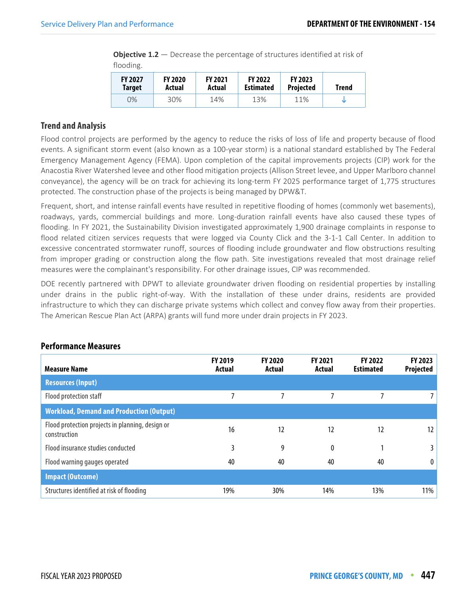**Objective 1.2** – Decrease the percentage of structures identified at risk of flooding.

| <b>FY 2027</b> | <b>FY 2020</b> | <b>FY 2021</b> | <b>FY 2022</b>   | <b>FY 2023</b>   | Trend |
|----------------|----------------|----------------|------------------|------------------|-------|
| <b>Target</b>  | Actual         | Actual         | <b>Estimated</b> | <b>Projected</b> |       |
| $0\%$          | 30%            | 14%            | 13%              | 11%              |       |

#### **Trend and Analysis**

Flood control projects are performed by the agency to reduce the risks of loss of life and property because of flood events. A significant storm event (also known as a 100-year storm) is a national standard established by The Federal Emergency Management Agency (FEMA). Upon completion of the capital improvements projects (CIP) work for the Anacostia River Watershed levee and other flood mitigation projects (Allison Street levee, and Upper Marlboro channel conveyance), the agency will be on track for achieving its long-term FY 2025 performance target of 1,775 structures protected. The construction phase of the projects is being managed by DPW&T.

Frequent, short, and intense rainfall events have resulted in repetitive flooding of homes (commonly wet basements), roadways, yards, commercial buildings and more. Long-duration rainfall events have also caused these types of flooding. In FY 2021, the Sustainability Division investigated approximately 1,900 drainage complaints in response to flood related citizen services requests that were logged via County Click and the 3-1-1 Call Center. In addition to excessive concentrated stormwater runoff, sources of flooding include groundwater and flow obstructions resulting from improper grading or construction along the flow path. Site investigations revealed that most drainage relief measures were the complainant's responsibility. For other drainage issues, CIP was recommended.

DOE recently partnered with DPWT to alleviate groundwater driven flooding on residential properties by installing under drains in the public right-of-way. With the installation of these under drains, residents are provided infrastructure to which they can discharge private systems which collect and convey flow away from their properties. The American Rescue Plan Act (ARPA) grants will fund more under drain projects in FY 2023.

| <b>Measure Name</b>                                              | <b>FY 2019</b><br>Actual | <b>FY 2020</b><br>Actual | <b>FY 2021</b><br>Actual | <b>FY 2022</b><br><b>Estimated</b> | FY 2023<br>Projected |
|------------------------------------------------------------------|--------------------------|--------------------------|--------------------------|------------------------------------|----------------------|
| <b>Resources (Input)</b>                                         |                          |                          |                          |                                    |                      |
| Flood protection staff                                           |                          |                          |                          |                                    |                      |
| <b>Workload, Demand and Production (Output)</b>                  |                          |                          |                          |                                    |                      |
| Flood protection projects in planning, design or<br>construction | 16                       | 12                       | 12                       | 12                                 | 12                   |
| Flood insurance studies conducted                                | 3                        | 9                        | 0                        |                                    |                      |
| Flood warning gauges operated                                    | 40                       | 40                       | 40                       | 40                                 | 0                    |
| <b>Impact (Outcome)</b>                                          |                          |                          |                          |                                    |                      |
| Structures identified at risk of flooding                        | 19%                      | 30%                      | 14%                      | 13%                                | 11%                  |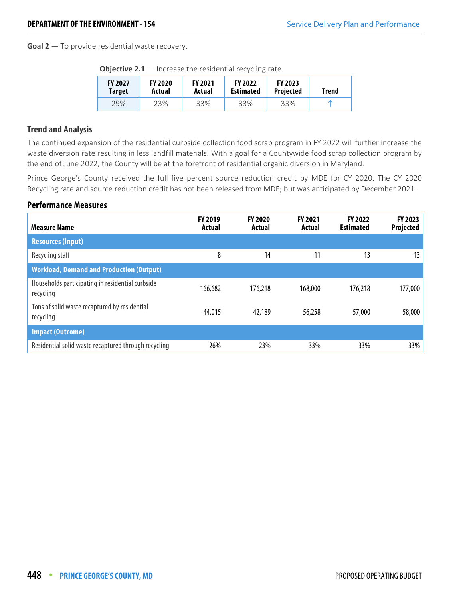**Goal 2** — To provide residential waste recovery.

| <b>FY 2027</b><br><b>Target</b> | <b>FY 2020</b><br>Actual | <b>FY 2021</b><br>Actual | <b>FY 2022</b><br><b>Estimated</b> | <b>FY 2023</b><br>Projected | <b>Trend</b> |  |  |  |  |  |  |
|---------------------------------|--------------------------|--------------------------|------------------------------------|-----------------------------|--------------|--|--|--|--|--|--|
| 29%                             | 23%                      | 33%                      | 33%                                | 33%                         |              |  |  |  |  |  |  |

**Objective 2.1** — Increase the residential recycling rate.

#### **Trend and Analysis**

The continued expansion of the residential curbside collection food scrap program in FY 2022 will further increase the waste diversion rate resulting in less landfill materials. With a goal for a Countywide food scrap collection program by the end of June 2022, the County will be at the forefront of residential organic diversion in Maryland.

Prince George's County received the full five percent source reduction credit by MDE for CY 2020. The CY 2020 Recycling rate and source reduction credit has not been released from MDE; but was anticipated by December 2021.

| <b>Measure Name</b>                                           | FY 2019<br>Actual | <b>FY 2020</b><br>Actual | <b>FY 2021</b><br><b>Actual</b> | <b>FY 2022</b><br><b>Estimated</b> | FY 2023<br>Projected |
|---------------------------------------------------------------|-------------------|--------------------------|---------------------------------|------------------------------------|----------------------|
| <b>Resources (Input)</b>                                      |                   |                          |                                 |                                    |                      |
| Recycling staff                                               | 8                 | 14                       | 11                              | 13                                 | 13                   |
| <b>Workload, Demand and Production (Output)</b>               |                   |                          |                                 |                                    |                      |
| Households participating in residential curbside<br>recycling | 166,682           | 176,218                  | 168,000                         | 176,218                            | 177,000              |
| Tons of solid waste recaptured by residential<br>recycling    | 44,015            | 42,189                   | 56,258                          | 57,000                             | 58,000               |
| <b>Impact (Outcome)</b>                                       |                   |                          |                                 |                                    |                      |
| Residential solid waste recaptured through recycling          | 26%               | 23%                      | 33%                             | 33%                                | 33%                  |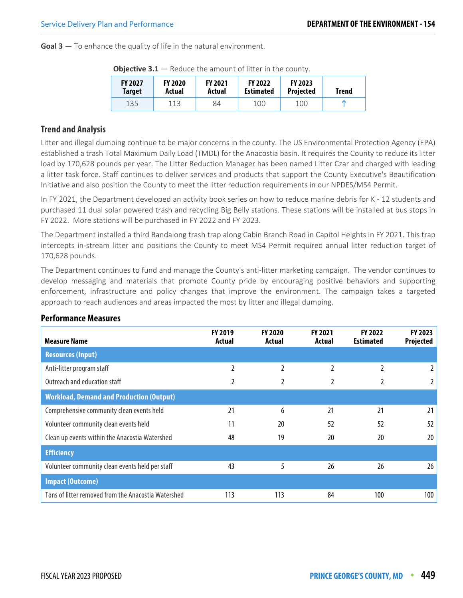**Goal 3** — To enhance the quality of life in the natural environment.

| <b>FY 2027</b><br><b>Target</b> | <b>FY 2020</b><br>Actual | <b>FY 2021</b><br>Actual | <b>FY 2022</b><br><b>Estimated</b> | <b>FY 2023</b><br>Projected | Trend |  |  |  |
|---------------------------------|--------------------------|--------------------------|------------------------------------|-----------------------------|-------|--|--|--|
| 135                             | 113                      | 84                       | 100                                | 100                         |       |  |  |  |

**Objective 3.1** — Reduce the amount of litter in the county.

#### **Trend and Analysis**

Litter and illegal dumping continue to be major concerns in the county. The US Environmental Protection Agency (EPA) established a trash Total Maximum Daily Load (TMDL) for the Anacostia basin. It requires the County to reduce its litter load by 170,628 pounds per year. The Litter Reduction Manager has been named Litter Czar and charged with leading a litter task force. Staff continues to deliver services and products that support the County Executive's Beautification Initiative and also position the County to meet the litter reduction requirements in our NPDES/MS4 Permit.

In FY 2021, the Department developed an activity book series on how to reduce marine debris for K - 12 students and purchased 11 dual solar powered trash and recycling Big Belly stations. These stations will be installed at bus stops in FY 2022. More stations will be purchased in FY 2022 and FY 2023.

The Department installed a third Bandalong trash trap along Cabin Branch Road in Capitol Heights in FY 2021. This trap intercepts in-stream litter and positions the County to meet MS4 Permit required annual litter reduction target of 170,628 pounds.

The Department continues to fund and manage the County's anti-litter marketing campaign. The vendor continues to develop messaging and materials that promote County pride by encouraging positive behaviors and supporting enforcement, infrastructure and policy changes that improve the environment. The campaign takes a targeted approach to reach audiences and areas impacted the most by litter and illegal dumping.

| <b>Measure Name</b>                                 | <b>FY 2019</b><br>Actual | FY 2020<br>Actual | <b>FY 2021</b><br>Actual | <b>FY 2022</b><br><b>Estimated</b> | <b>FY 2023</b><br>Projected |  |
|-----------------------------------------------------|--------------------------|-------------------|--------------------------|------------------------------------|-----------------------------|--|
| <b>Resources (Input)</b>                            |                          |                   |                          |                                    |                             |  |
| Anti-litter program staff                           | 2                        |                   | 2                        | 2                                  |                             |  |
| Outreach and education staff                        | 2                        |                   | 2                        | 2                                  |                             |  |
| <b>Workload, Demand and Production (Output)</b>     |                          |                   |                          |                                    |                             |  |
| Comprehensive community clean events held           | 21                       | 6                 | 21                       | 21                                 | 21                          |  |
| Volunteer community clean events held               | 11                       | 20                | 52                       | 52                                 | 52                          |  |
| Clean up events within the Anacostia Watershed      | 48                       | 19                | 20                       | 20                                 | 20                          |  |
| <b>Efficiency</b>                                   |                          |                   |                          |                                    |                             |  |
| Volunteer community clean events held per staff     | 43                       | 5                 | 26                       | 26                                 | 26                          |  |
| <b>Impact (Outcome)</b>                             |                          |                   |                          |                                    |                             |  |
| Tons of litter removed from the Anacostia Watershed | 113                      | 113               | 84                       | 100                                | 100                         |  |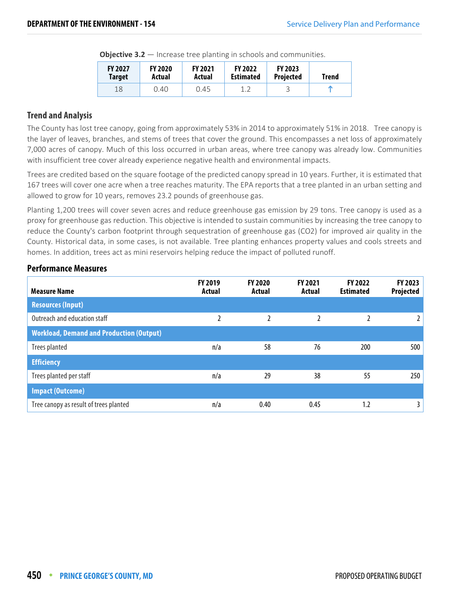**Objective 3.2** – Increase tree planting in schools and communities.

| <b>FY 2027</b> | <b>FY 2020</b> | <b>FY 2021</b> | <b>FY 2022</b>   | <b>FY 2023</b>   | Trend |
|----------------|----------------|----------------|------------------|------------------|-------|
| <b>Target</b>  | Actual         | Actual         | <b>Estimated</b> | <b>Projected</b> |       |
| 18             | 0.40           | 0.45           |                  |                  | æ     |

#### **Trend and Analysis**

The County has lost tree canopy, going from approximately 53% in 2014 to approximately 51% in 2018. Tree canopy is the layer of leaves, branches, and stems of trees that cover the ground. This encompasses a net loss of approximately 7,000 acres of canopy. Much of this loss occurred in urban areas, where tree canopy was already low. Communities with insufficient tree cover already experience negative health and environmental impacts.

Trees are credited based on the square footage of the predicted canopy spread in 10 years. Further, it is estimated that 167 trees will cover one acre when a tree reaches maturity. The EPA reports that a tree planted in an urban setting and allowed to grow for 10 years, removes 23.2 pounds of greenhouse gas.

Planting 1,200 trees will cover seven acres and reduce greenhouse gas emission by 29 tons. Tree canopy is used as a proxy for greenhouse gas reduction. This objective is intended to sustain communities by increasing the tree canopy to reduce the County's carbon footprint through sequestration of greenhouse gas (CO2) for improved air quality in the County. Historical data, in some cases, is not available. Tree planting enhances property values and cools streets and homes. In addition, trees act as mini reservoirs helping reduce the impact of polluted runoff.

| <b>Measure Name</b>                             | <b>FY 2019</b><br>Actual | <b>FY 2020</b><br>Actual | <b>FY 2021</b><br>Actual | <b>FY 2022</b><br><b>Estimated</b> | FY 2023<br>Projected |
|-------------------------------------------------|--------------------------|--------------------------|--------------------------|------------------------------------|----------------------|
| <b>Resources (Input)</b>                        |                          |                          |                          |                                    |                      |
| Outreach and education staff                    | 2                        | $\overline{2}$           |                          | 2                                  | 2 <sup>1</sup>       |
| <b>Workload, Demand and Production (Output)</b> |                          |                          |                          |                                    |                      |
| Trees planted                                   | n/a                      | 58                       | 76                       | 200                                | 500                  |
| <b>Efficiency</b>                               |                          |                          |                          |                                    |                      |
| Trees planted per staff                         | n/a                      | 29                       | 38                       | 55                                 | 250                  |
| <b>Impact (Outcome)</b>                         |                          |                          |                          |                                    |                      |
| Tree canopy as result of trees planted          | n/a                      | 0.40                     | 0.45                     | 1.2                                | 3                    |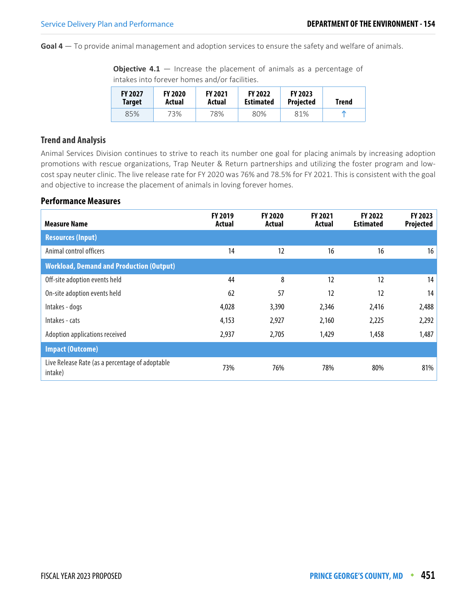**Goal 4** — To provide animal management and adoption services to ensure the safety and welfare of animals.

**Objective 4.1** – Increase the placement of animals as a percentage of intakes into forever homes and/or facilities.

| <b>FY 2027</b><br>Target | <b>FY 2020</b><br>Actual | <b>FY 2021</b><br>Actual | <b>FY 2022</b><br><b>Estimated</b> | <b>FY 2023</b><br><b>Projected</b> | <b>Trend</b> |
|--------------------------|--------------------------|--------------------------|------------------------------------|------------------------------------|--------------|
| 85%                      | 73%                      | 78%                      | 80%                                | 81%                                |              |

#### **Trend and Analysis**

Animal Services Division continues to strive to reach its number one goal for placing animals by increasing adoption promotions with rescue organizations, Trap Neuter & Return partnerships and utilizing the foster program and lowcost spay neuter clinic. The live release rate for FY 2020 was 76% and 78.5% for FY 2021. This is consistent with the goal and objective to increase the placement of animals in loving forever homes.

| <b>Measure Name</b>                                        | <b>FY 2019</b><br>Actual | <b>FY 2020</b><br>Actual | <b>FY 2021</b><br>Actual | <b>FY 2022</b><br><b>Estimated</b> | FY 2023<br>Projected |
|------------------------------------------------------------|--------------------------|--------------------------|--------------------------|------------------------------------|----------------------|
| <b>Resources (Input)</b>                                   |                          |                          |                          |                                    |                      |
| Animal control officers                                    | 14                       | 12                       | 16                       | 16                                 | 16                   |
| <b>Workload, Demand and Production (Output)</b>            |                          |                          |                          |                                    |                      |
| Off-site adoption events held                              | 44                       | 8                        | 12                       | 12                                 | 14                   |
| On-site adoption events held                               | 62                       | 57                       | 12                       | 12                                 | 14                   |
| Intakes - dogs                                             | 4,028                    | 3,390                    | 2,346                    | 2,416                              | 2,488                |
| Intakes - cats                                             | 4,153                    | 2,927                    | 2,160                    | 2,225                              | 2,292                |
| Adoption applications received                             | 2,937                    | 2,705                    | 1,429                    | 1,458                              | 1,487                |
| <b>Impact (Outcome)</b>                                    |                          |                          |                          |                                    |                      |
| Live Release Rate (as a percentage of adoptable<br>intake) | 73%                      | 76%                      | 78%                      | 80%                                | 81%                  |